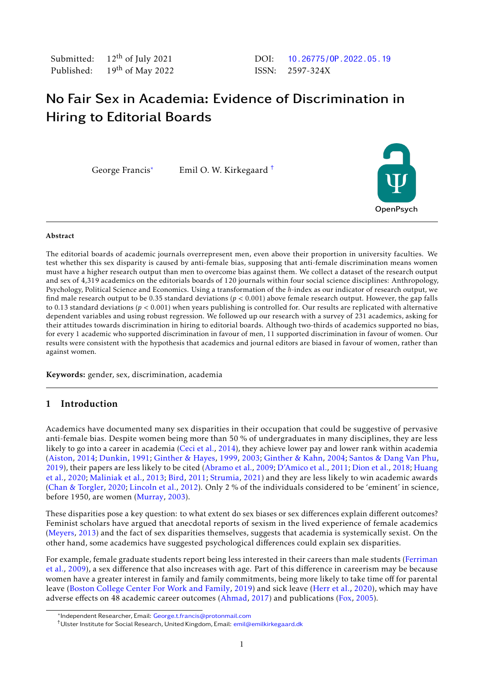Published: 19th of May 2022 ISSN: 2597-324X

Submitted: 12<sup>th</sup> of July 2021 DOI: 10.26775/0P.2022.05.19

# No Fair Sex in Academia: Evidence of Discrimination in Hiring to Editorial Boards

George Francis<sup>∗</sup> Emil O. W. Kirkegaard †



#### Abstract

The editorial boards of academic journals overrepresent men, even above their proportion in university faculties. We test whether this sex disparity is caused by anti-female bias, supposing that anti-female discrimination means women must have a higher research output than men to overcome bias against them. We collect a dataset of the research output and sex of 4,319 academics on the editorials boards of 120 journals within four social science disciplines: Anthropology, Psychology, Political Science and Economics. Using a transformation of the *h*-index as our indicator of research output, we find male research output to be 0.35 standard deviations (*p* < 0.001) above female research output. However, the gap falls to 0.13 standard deviations ( $p < 0.001$ ) when years publishing is controlled for. Our results are replicated with alternative dependent variables and using robust regression. We followed up our research with a survey of 231 academics, asking for their attitudes towards discrimination in hiring to editorial boards. Although two-thirds of academics supported no bias, for every 1 academic who supported discrimination in favour of men, 11 supported discrimination in favour of women. Our results were consistent with the hypothesis that academics and journal editors are biased in favour of women, rather than against women.

Keywords: gender, sex, discrimination, academia

### 1 Introduction

Academics have documented many sex disparities in their occupation that could be suggestive of pervasive anti-female bias. Despite women being more than 50 % of undergraduates in many disciplines, they are less likely to go into a career in academia [\(Ceci et al.,](#page-17-0) [2014\)](#page-17-0), they achieve lower pay and lower rank within academia [\(Aiston,](#page-17-1) [2014;](#page-17-1) [Dunkin,](#page-18-0) [1991;](#page-18-0) [Ginther & Hayes,](#page-18-1) [1999,](#page-18-1) [2003;](#page-18-2) [Ginther & Kahn,](#page-18-3) [2004;](#page-18-3) [Santos & Dang Van Phu,](#page-21-0) [2019\)](#page-21-0), their papers are less likely to be cited [\(Abramo et al.,](#page-17-2) [2009;](#page-17-2) [D'Amico et al.,](#page-18-4) [2011;](#page-18-4) [Dion et al.,](#page-18-5) [2018;](#page-18-5) [Huang](#page-19-0) [et al.,](#page-19-0) [2020;](#page-19-0) [Maliniak et al.,](#page-20-0) [2013;](#page-20-0) [Bird,](#page-17-3) [2011;](#page-17-3) [Strumia,](#page-21-1) [2021\)](#page-21-1) and they are less likely to win academic awards [\(Chan & Torgler,](#page-17-4) [2020;](#page-17-4) [Lincoln et al.,](#page-19-1) [2012\)](#page-19-1). Only 2 % of the individuals considered to be 'eminent' in science, before 1950, are women [\(Murray,](#page-20-1) [2003\)](#page-20-1).

These disparities pose a key question: to what extent do sex biases or sex differences explain different outcomes? Feminist scholars have argued that anecdotal reports of sexism in the lived experience of female academics [\(Meyers,](#page-20-2) [2013\)](#page-20-2) and the fact of sex disparities themselves, suggests that academia is systemically sexist. On the other hand, some academics have suggested psychological differences could explain sex disparities.

For example, female graduate students report being less interested in their careers than male students [\(Ferriman](#page-18-6) [et al.,](#page-18-6) [2009\)](#page-18-6), a sex difference that also increases with age. Part of this difference in careerism may be because women have a greater interest in family and family commitments, being more likely to take time off for parental leave [\(Boston College Center For Work and Family,](#page-17-5) [2019\)](#page-17-5) and sick leave [\(Herr et al.,](#page-19-2) [2020\)](#page-19-2), which may have adverse effects on 48 academic career outcomes [\(Ahmad,](#page-17-6) [2017\)](#page-17-6) and publications [\(Fox,](#page-18-7) [2005\)](#page-18-7).

<sup>∗</sup> Independent Researcher, Email: [George.t.francis@protonmail.com](mailto:George.t.francis@protonmail.com)

<sup>†</sup>Ulster Institute for Social Research, United Kingdom, Email: [emil@emilkirkegaard.dk](mailto:emil@emilkirkegaard.dk)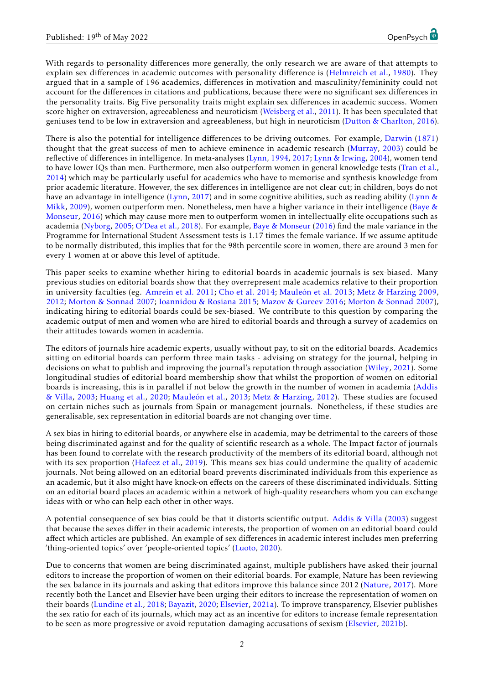With regards to personality differences more generally, the only research we are aware of that attempts to explain sex differences in academic outcomes with personality difference is [\(Helmreich et al.,](#page-19-3) [1980\)](#page-19-3). They argued that in a sample of 196 academics, differences in motivation and masculinity/femininity could not account for the differences in citations and publications, because there were no significant sex differences in the personality traits. Big Five personality traits might explain sex differences in academic success. Women score higher on extraversion, agreeableness and neuroticism [\(Weisberg et al.,](#page-21-2) [2011\)](#page-21-2). It has been speculated that geniuses tend to be low in extraversion and agreeableness, but high in neuroticism [\(Dutton & Charlton,](#page-18-8) [2016\)](#page-18-8).

There is also the potential for intelligence differences to be driving outcomes. For example, [Darwin](#page-18-9) [\(1871\)](#page-18-9) thought that the great success of men to achieve eminence in academic research [\(Murray,](#page-20-1) [2003\)](#page-20-1) could be reflective of differences in intelligence. In meta-analyses [\(Lynn,](#page-19-4) [1994,](#page-19-4) [2017;](#page-19-5) [Lynn & Irwing,](#page-19-6) [2004\)](#page-19-6), women tend to have lower IQs than men. Furthermore, men also outperform women in general knowledge tests [\(Tran et al.,](#page-21-3) [2014\)](#page-21-3) which may be particularly useful for academics who have to memorise and synthesis knowledge from prior academic literature. However, the sex differences in intelligence are not clear cut; in children, boys do not have an advantage in intelligence [\(Lynn,](#page-19-5) [2017\)](#page-19-5) and in some cognitive abilities, such as reading ability [\(Lynn &](#page-20-3) [Mikk,](#page-20-3) [2009\)](#page-20-3), women outperform men. Nonetheless, men have a higher variance in their intelligence [\(Baye &](#page-17-7) [Monseur,](#page-17-7) [2016\)](#page-17-7) which may cause more men to outperform women in intellectually elite occupations such as academia [\(Nyborg,](#page-20-4) [2005;](#page-20-4) [O'Dea et al.,](#page-20-5) [2018\)](#page-20-5). For example, [Baye & Monseur](#page-17-7) [\(2016\)](#page-17-7) find the male variance in the Programme for International Student Assessment tests is 1.17 times the female variance. If we assume aptitude to be normally distributed, this implies that for the 98th percentile score in women, there are around 3 men for every 1 women at or above this level of aptitude.

This paper seeks to examine whether hiring to editorial boards in academic journals is sex-biased. Many previous studies on editorial boards show that they overrepresent male academics relative to their proportion in university faculties (eg. [Amrein et al.](#page-17-8) [2011;](#page-17-8) [Cho et al.](#page-18-10) [2014;](#page-18-10) [Mauleón et al.](#page-20-6) [2013;](#page-20-6) [Metz & Harzing](#page-20-7) [2009,](#page-20-7) [2012;](#page-20-8) [Morton & Sonnad](#page-20-9) [2007;](#page-20-9) [Ioannidou & Rosiana](#page-19-7) [2015;](#page-19-7) [Mazov & Gureev](#page-20-10) [2016;](#page-20-10) [Morton & Sonnad](#page-20-9) [2007\)](#page-20-9), indicating hiring to editorial boards could be sex-biased. We contribute to this question by comparing the academic output of men and women who are hired to editorial boards and through a survey of academics on their attitudes towards women in academia.

The editors of journals hire academic experts, usually without pay, to sit on the editorial boards. Academics sitting on editorial boards can perform three main tasks - advising on strategy for the journal, helping in decisions on what to publish and improving the journal's reputation through association [\(Wiley,](#page-21-4) [2021\)](#page-21-4). Some longitudinal studies of editorial board membership show that whilst the proportion of women on editorial boards is increasing, this is in parallel if not below the growth in the number of women in academia [\(Addis](#page-17-9) [& Villa,](#page-17-9) [2003;](#page-17-9) [Huang et al.,](#page-19-0) [2020;](#page-19-0) [Mauleón et al.,](#page-20-6) [2013;](#page-20-6) [Metz & Harzing,](#page-20-8) [2012\)](#page-20-8). These studies are focused on certain niches such as journals from Spain or management journals. Nonetheless, if these studies are generalisable, sex representation in editorial boards are not changing over time.

A sex bias in hiring to editorial boards, or anywhere else in academia, may be detrimental to the careers of those being discriminated against and for the quality of scientific research as a whole. The Impact factor of journals has been found to correlate with the research productivity of the members of its editorial board, although not with its sex proportion [\(Hafeez et al.,](#page-18-11) [2019\)](#page-18-11). This means sex bias could undermine the quality of academic journals. Not being allowed on an editorial board prevents discriminated individuals from this experience as an academic, but it also might have knock-on effects on the careers of these discriminated individuals. Sitting on an editorial board places an academic within a network of high-quality researchers whom you can exchange ideas with or who can help each other in other ways.

A potential consequence of sex bias could be that it distorts scientific output. [Addis & Villa](#page-17-9) [\(2003\)](#page-17-9) suggest that because the sexes differ in their academic interests, the proportion of women on an editorial board could affect which articles are published. An example of sex differences in academic interest includes men preferring 'thing-oriented topics' over 'people-oriented topics' [\(Luoto,](#page-19-8) [2020\)](#page-19-8).

Due to concerns that women are being discriminated against, multiple publishers have asked their journal editors to increase the proportion of women on their editorial boards. For example, Nature has been reviewing the sex balance in its journals and asking that editors improve this balance since 2012 [\(Nature,](#page-20-11) [2017\)](#page-20-11). More recently both the Lancet and Elsevier have been urging their editors to increase the representation of women on their boards [\(Lundine et al.,](#page-19-9) [2018;](#page-19-9) [Bayazit,](#page-17-10) [2020;](#page-17-10) [Elsevier,](#page-18-12) [2021a\)](#page-18-12). To improve transparency, Elsevier publishes the sex ratio for each of its journals, which may act as an incentive for editors to increase female representation to be seen as more progressive or avoid reputation-damaging accusations of sexism [\(Elsevier,](#page-18-13) [2021b\)](#page-18-13).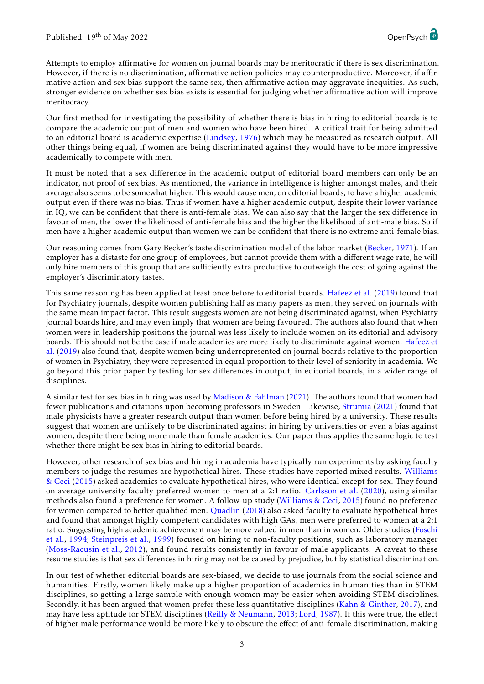Attempts to employ affirmative for women on journal boards may be meritocratic if there is sex discrimination. However, if there is no discrimination, affirmative action policies may counterproductive. Moreover, if affirmative action and sex bias support the same sex, then affirmative action may aggravate inequities. As such, stronger evidence on whether sex bias exists is essential for judging whether affirmative action will improve meritocracy.

Our first method for investigating the possibility of whether there is bias in hiring to editorial boards is to compare the academic output of men and women who have been hired. A critical trait for being admitted to an editorial board is academic expertise [\(Lindsey,](#page-19-10) [1976\)](#page-19-10) which may be measured as research output. All other things being equal, if women are being discriminated against they would have to be more impressive academically to compete with men.

It must be noted that a sex difference in the academic output of editorial board members can only be an indicator, not proof of sex bias. As mentioned, the variance in intelligence is higher amongst males, and their average also seems to be somewhat higher. This would cause men, on editorial boards, to have a higher academic output even if there was no bias. Thus if women have a higher academic output, despite their lower variance in IQ, we can be confident that there is anti-female bias. We can also say that the larger the sex difference in favour of men, the lower the likelihood of anti-female bias and the higher the likelihood of anti-male bias. So if men have a higher academic output than women we can be confident that there is no extreme anti-female bias.

Our reasoning comes from Gary Becker's taste discrimination model of the labor market [\(Becker,](#page-17-11) [1971\)](#page-17-11). If an employer has a distaste for one group of employees, but cannot provide them with a different wage rate, he will only hire members of this group that are sufficiently extra productive to outweigh the cost of going against the employer's discriminatory tastes.

This same reasoning has been applied at least once before to editorial boards. [Hafeez et al.](#page-18-11) [\(2019\)](#page-18-11) found that for Psychiatry journals, despite women publishing half as many papers as men, they served on journals with the same mean impact factor. This result suggests women are not being discriminated against, when Psychiatry journal boards hire, and may even imply that women are being favoured. The authors also found that when women were in leadership positions the journal was less likely to include women on its editorial and advisory boards. This should not be the case if male academics are more likely to discriminate against women. [Hafeez et](#page-18-11) [al.](#page-18-11) [\(2019\)](#page-18-11) also found that, despite women being underrepresented on journal boards relative to the proportion of women in Psychiatry, they were represented in equal proportion to their level of seniority in academia. We go beyond this prior paper by testing for sex differences in output, in editorial boards, in a wider range of disciplines.

A similar test for sex bias in hiring was used by [Madison & Fahlman](#page-20-12) [\(2021\)](#page-20-12). The authors found that women had fewer publications and citations upon becoming professors in Sweden. Likewise, [Strumia](#page-21-1) [\(2021\)](#page-21-1) found that male physicists have a greater research output than women before being hired by a university. These results suggest that women are unlikely to be discriminated against in hiring by universities or even a bias against women, despite there being more male than female academics. Our paper thus applies the same logic to test whether there might be sex bias in hiring to editorial boards.

However, other research of sex bias and hiring in academia have typically run experiments by asking faculty members to judge the resumes are hypothetical hires. These studies have reported mixed results. [Williams](#page-21-5) [& Ceci](#page-21-5) [\(2015\)](#page-21-5) asked academics to evaluate hypothetical hires, who were identical except for sex. They found on average university faculty preferred women to men at a 2:1 ratio. [Carlsson et al.](#page-17-12) [\(2020\)](#page-17-12), using similar methods also found a preference for women. A follow-up study [\(Williams & Ceci,](#page-21-5) [2015\)](#page-21-5) found no preference for women compared to better-qualified men. [Quadlin](#page-21-6) [\(2018\)](#page-21-6) also asked faculty to evaluate hypothetical hires and found that amongst highly competent candidates with high GAs, men were preferred to women at a 2:1 ratio. Suggesting high academic achievement may be more valued in men than in women. Older studies [\(Foschi](#page-18-14) [et al.,](#page-18-14) [1994;](#page-18-14) [Steinpreis et al.,](#page-21-7) [1999\)](#page-21-7) focused on hiring to non-faculty positions, such as laboratory manager [\(Moss-Racusin et al.,](#page-20-13) [2012\)](#page-20-13), and found results consistently in favour of male applicants. A caveat to these resume studies is that sex differences in hiring may not be caused by prejudice, but by statistical discrimination.

In our test of whether editorial boards are sex-biased, we decide to use journals from the social science and humanities. Firstly, women likely make up a higher proportion of academics in humanities than in STEM disciplines, so getting a large sample with enough women may be easier when avoiding STEM disciplines. Secondly, it has been argued that women prefer these less quantitative disciplines [\(Kahn & Ginther,](#page-19-11) [2017\)](#page-19-11), and may have less aptitude for STEM disciplines [\(Reilly & Neumann,](#page-21-8) [2013;](#page-21-8) [Lord,](#page-19-12) [1987\)](#page-19-12). If this were true, the effect of higher male performance would be more likely to obscure the effect of anti-female discrimination, making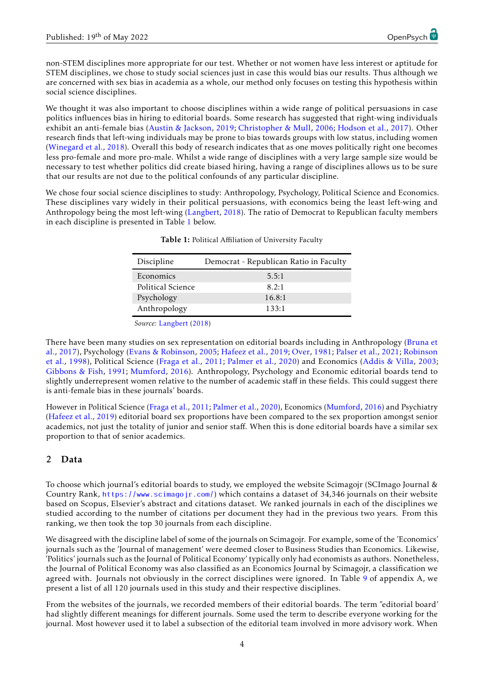non-STEM disciplines more appropriate for our test. Whether or not women have less interest or aptitude for STEM disciplines, we chose to study social sciences just in case this would bias our results. Thus although we are concerned with sex bias in academia as a whole, our method only focuses on testing this hypothesis within social science disciplines.

We thought it was also important to choose disciplines within a wide range of political persuasions in case politics influences bias in hiring to editorial boards. Some research has suggested that right-wing individuals exhibit an anti-female bias [\(Austin & Jackson,](#page-17-13) [2019;](#page-17-13) [Christopher & Mull,](#page-18-15) [2006;](#page-18-15) [Hodson et al.,](#page-19-13) [2017\)](#page-19-13). Other research finds that left-wing individuals may be prone to bias towards groups with low status, including women [\(Winegard et al.,](#page-21-9) [2018\)](#page-21-9). Overall this body of research indicates that as one moves politically right one becomes less pro-female and more pro-male. Whilst a wide range of disciplines with a very large sample size would be necessary to test whether politics did create biased hiring, having a range of disciplines allows us to be sure that our results are not due to the political confounds of any particular discipline.

<span id="page-3-0"></span>We chose four social science disciplines to study: Anthropology, Psychology, Political Science and Economics. These disciplines vary widely in their political persuasions, with economics being the least left-wing and Anthropology being the most left-wing [\(Langbert,](#page-19-14) [2018\)](#page-19-14). The ratio of Democrat to Republican faculty members in each discipline is presented in Table [1](#page-3-0) below.

| Discipline        | Democrat - Republican Ratio in Faculty |
|-------------------|----------------------------------------|
| Economics         | 5.5:1                                  |
| Political Science | 8.2:1                                  |
| Psychology        | 16.8:1                                 |
| Anthropology      | 133:1                                  |

| Table 1: Political Affiliation of University Faculty |  |
|------------------------------------------------------|--|
|------------------------------------------------------|--|

*Source:* [Langbert](#page-19-14) [\(2018\)](#page-19-14)

There have been many studies on sex representation on editorial boards including in Anthropology [\(Bruna et](#page-17-14) [al.,](#page-17-14) [2017\)](#page-17-14), Psychology [\(Evans & Robinson,](#page-18-16) [2005;](#page-18-16) [Hafeez et al.,](#page-18-11) [2019;](#page-18-11) [Over,](#page-20-14) [1981;](#page-20-14) [Palser et al.,](#page-20-15) [2021;](#page-20-15) [Robinson](#page-21-10) [et al.,](#page-21-10) [1998\)](#page-21-10), Political Science [\(Fraga et al.,](#page-18-17) [2011;](#page-18-17) [Palmer et al.,](#page-20-16) [2020\)](#page-20-16) and Economics [\(Addis & Villa,](#page-17-9) [2003;](#page-17-9) [Gibbons & Fish,](#page-18-18) [1991;](#page-18-18) [Mumford,](#page-20-17) [2016\)](#page-20-17). Anthropology, Psychology and Economic editorial boards tend to slightly underrepresent women relative to the number of academic staff in these fields. This could suggest there is anti-female bias in these journals' boards.

However in Political Science [\(Fraga et al.,](#page-18-17) [2011;](#page-18-17) [Palmer et al.,](#page-20-16) [2020\)](#page-20-16), Economics [\(Mumford,](#page-20-17) [2016\)](#page-20-17) and Psychiatry [\(Hafeez et al.,](#page-18-11) [2019\)](#page-18-11) editorial board sex proportions have been compared to the sex proportion amongst senior academics, not just the totality of junior and senior staff. When this is done editorial boards have a similar sex proportion to that of senior academics.

## 2 Data

To choose which journal's editorial boards to study, we employed the website Scimagojr (SCImago Journal & Country Rank, <https://www.scimagojr.com/>) which contains a dataset of 34,346 journals on their website based on Scopus, Elsevier's abstract and citations dataset. We ranked journals in each of the disciplines we studied according to the number of citations per document they had in the previous two years. From this ranking, we then took the top 30 journals from each discipline.

We disagreed with the discipline label of some of the journals on Scimagojr. For example, some of the 'Economics' journals such as the 'Journal of management' were deemed closer to Business Studies than Economics. Likewise, 'Politics' journals such as the Journal of Political Economy' typically only had economists as authors. Nonetheless, the Journal of Political Economy was also classified as an Economics Journal by Scimagojr, a classification we agreed with. Journals not obviously in the correct disciplines were ignored. In Table [9](#page-22-0) of appendix A, we present a list of all 120 journals used in this study and their respective disciplines.

From the websites of the journals, we recorded members of their editorial boards. The term "editorial board' had slightly different meanings for different journals. Some used the term to describe everyone working for the journal. Most however used it to label a subsection of the editorial team involved in more advisory work. When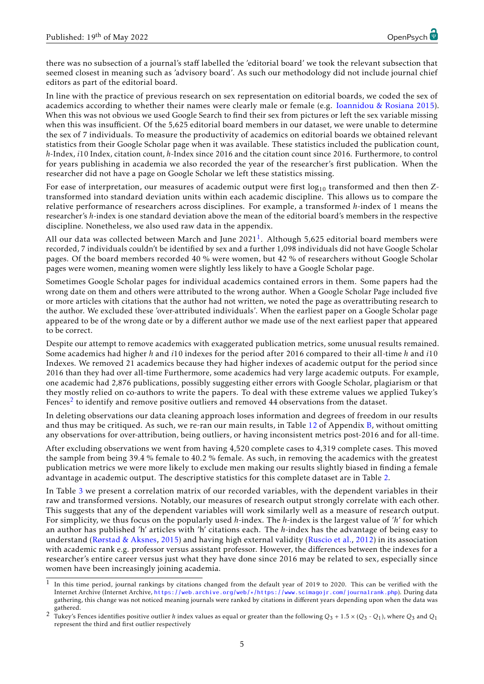there was no subsection of a journal's staff labelled the 'editorial board' we took the relevant subsection that seemed closest in meaning such as 'advisory board'. As such our methodology did not include journal chief editors as part of the editorial board.

In line with the practice of previous research on sex representation on editorial boards, we coded the sex of academics according to whether their names were clearly male or female (e.g. [Ioannidou & Rosiana](#page-19-7) [2015\)](#page-19-7). When this was not obvious we used Google Search to find their sex from pictures or left the sex variable missing when this was insufficient. Of the 5,625 editorial board members in our dataset, we were unable to determine the sex of 7 individuals. To measure the productivity of academics on editorial boards we obtained relevant statistics from their Google Scholar page when it was available. These statistics included the publication count, *h*-Index, *i*10 Index, citation count, *h*-Index since 2016 and the citation count since 2016. Furthermore, to control for years publishing in academia we also recorded the year of the researcher's first publication. When the researcher did not have a page on Google Scholar we left these statistics missing.

For ease of interpretation, our measures of academic output were first  $log_{10}$  transformed and then then Ztransformed into standard deviation units within each academic discipline. This allows us to compare the relative performance of researchers across disciplines. For example, a transformed *h*-index of 1 means the researcher's *h*-index is one standard deviation above the mean of the editorial board's members in the respective discipline. Nonetheless, we also used raw data in the appendix.

All our data was collected between March and June 202[1](#page-4-0) $^1\!\!$ . Although 5,625 editorial board members were recorded, 7 individuals couldn't be identified by sex and a further 1,098 individuals did not have Google Scholar pages. Of the board members recorded 40 % were women, but 42 % of researchers without Google Scholar pages were women, meaning women were slightly less likely to have a Google Scholar page.

Sometimes Google Scholar pages for individual academics contained errors in them. Some papers had the wrong date on them and others were attributed to the wrong author. When a Google Scholar Page included five or more articles with citations that the author had not written, we noted the page as overattributing research to the author. We excluded these 'over-attributed individuals'. When the earliest paper on a Google Scholar page appeared to be of the wrong date or by a different author we made use of the next earliest paper that appeared to be correct.

Despite our attempt to remove academics with exaggerated publication metrics, some unusual results remained. Some academics had higher *h* and *i*10 indexes for the period after 2016 compared to their all-time *h* and *i*10 Indexes. We removed 21 academics because they had higher indexes of academic output for the period since 2016 than they had over all-time Furthermore, some academics had very large academic outputs. For example, one academic had 2,876 publications, possibly suggesting either errors with Google Scholar, plagiarism or that they mostly relied on co-authors to write the papers. To deal with these extreme values we applied Tukey's Fences<sup>[2](#page-4-1)</sup> to identify and remove positive outliers and removed 44 observations from the dataset.

In deleting observations our data cleaning approach loses information and degrees of freedom in our results and thus may be critiqued. As such, we re-ran our main results, in Table [12](#page-26-0) of Appendix [B,](#page-23-0) without omitting any observations for over-attribution, being outliers, or having inconsistent metrics post-2016 and for all-time.

After excluding observations we went from having 4,520 complete cases to 4,319 complete cases. This moved the sample from being 39.4 % female to 40.2 % female. As such, in removing the academics with the greatest publication metrics we were more likely to exclude men making our results slightly biased in finding a female advantage in academic output. The descriptive statistics for this complete dataset are in Table [2.](#page-5-0)

In Table [3](#page-6-0) we present a correlation matrix of our recorded variables, with the dependent variables in their raw and transformed versions. Notably, our measures of research output strongly correlate with each other. This suggests that any of the dependent variables will work similarly well as a measure of research output. For simplicity, we thus focus on the popularly used *h*-index. The *h*-index is the largest value of '*h*' for which an author has published 'h' articles with 'h' citations each. The *h*-index has the advantage of being easy to understand [\(Rørstad & Aksnes,](#page-21-11) [2015\)](#page-21-11) and having high external validity [\(Ruscio et al.,](#page-21-12) [2012\)](#page-21-12) in its association with academic rank e.g. professor versus assistant professor. However, the differences between the indexes for a researcher's entire career versus just what they have done since 2016 may be related to sex, especially since women have been increasingly joining academia.

<span id="page-4-0"></span><sup>1</sup> In this time period, journal rankings by citations changed from the default year of 2019 to 2020. This can be verified with the Internet Archive (Internet Archive, [https://web.archive.org/web/\\*/https://www.scimagojr.com/journalrank.php](https://web.archive.org/web/*/https://www.scimagojr.com/journalrank.php)). During data gathering, this change was not noticed meaning journals were ranked by citations in different years depending upon when the data was gathered.

<span id="page-4-1"></span>Tukey's Fences identifies positive outlier *h* index values as equal or greater than the following  $Q_3 + 1.5 \times (Q_3 - Q_1)$ , where  $Q_3$  and  $Q_1$ represent the third and first outlier respectively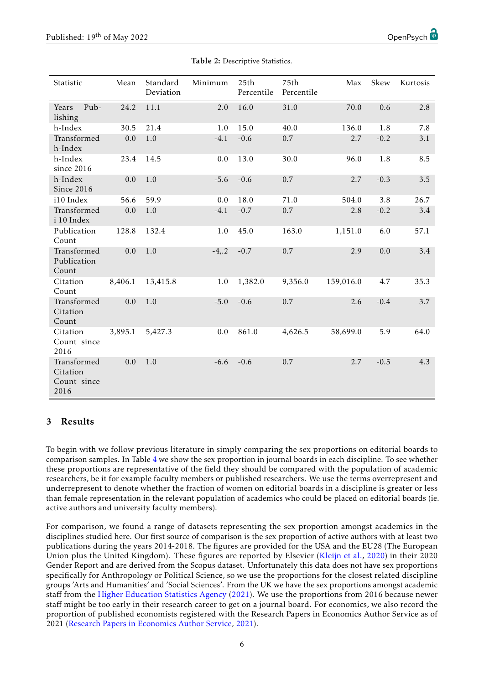<span id="page-5-0"></span>

| Statistic                                      | Mean    | Standard<br>Deviation | Minimum | 25th<br>Percentile | 75th<br>Percentile | Max       | Skew   | Kurtosis |
|------------------------------------------------|---------|-----------------------|---------|--------------------|--------------------|-----------|--------|----------|
| Pub-<br>Years<br>lishing                       | 24.2    | 11.1                  | 2.0     | 16.0               | 31.0               | 70.0      | 0.6    | 2.8      |
| h-Index                                        | 30.5    | 21.4                  | 1.0     | 15.0               | 40.0               | 136.0     | 1.8    | 7.8      |
| Transformed<br>h-Index                         | 0.0     | 1.0                   | $-4.1$  | $-0.6$             | 0.7                | 2.7       | $-0.2$ | 3.1      |
| h-Index<br>since 2016                          | 23.4    | 14.5                  | 0.0     | 13.0               | 30.0               | 96.0      | 1.8    | 8.5      |
| h-Index<br><b>Since 2016</b>                   | 0.0     | 1.0                   | $-5.6$  | $-0.6$             | 0.7                | 2.7       | $-0.3$ | 3.5      |
| i10 Index                                      | 56.6    | 59.9                  | 0.0     | 18.0               | 71.0               | 504.0     | 3.8    | 26.7     |
| Transformed<br>i 10 Index                      | 0.0     | 1.0                   | $-4.1$  | $-0.7$             | $0.7\,$            | 2.8       | $-0.2$ | 3.4      |
| Publication<br>Count                           | 128.8   | 132.4                 | 1.0     | 45.0               | 163.0              | 1,151.0   | 6.0    | 57.1     |
| Transformed<br>Publication<br>Count            | 0.0     | 1.0                   | $-4, 2$ | $-0.7$             | 0.7                | 2.9       | 0.0    | 3.4      |
| Citation<br>Count                              | 8,406.1 | 13,415.8              | 1.0     | 1,382.0            | 9,356.0            | 159,016.0 | 4.7    | 35.3     |
| Transformed<br>Citation<br>Count               | 0.0     | 1.0                   | $-5.0$  | $-0.6$             | 0.7                | 2.6       | $-0.4$ | 3.7      |
| Citation<br>Count since<br>2016                | 3,895.1 | 5,427.3               | 0.0     | 861.0              | 4,626.5            | 58,699.0  | 5.9    | 64.0     |
| Transformed<br>Citation<br>Count since<br>2016 | 0.0     | 1.0                   | $-6.6$  | $-0.6$             | 0.7                | 2.7       | $-0.5$ | 4.3      |

Table 2: Descriptive Statistics.

### 3 Results

To begin with we follow previous literature in simply comparing the sex proportions on editorial boards to comparison samples. In Table [4](#page-7-0) we show the sex proportion in journal boards in each discipline. To see whether these proportions are representative of the field they should be compared with the population of academic researchers, be it for example faculty members or published researchers. We use the terms overrepresent and underrepresent to denote whether the fraction of women on editorial boards in a discipline is greater or less than female representation in the relevant population of academics who could be placed on editorial boards (ie. active authors and university faculty members).

For comparison, we found a range of datasets representing the sex proportion amongst academics in the disciplines studied here. Our first source of comparison is the sex proportion of active authors with at least two publications during the years 2014-2018. The figures are provided for the USA and the EU28 (The European Union plus the United Kingdom). These figures are reported by Elsevier [\(Kleijn et al.,](#page-19-15) [2020\)](#page-19-15) in their 2020 Gender Report and are derived from the Scopus dataset. Unfortunately this data does not have sex proportions specifically for Anthropology or Political Science, so we use the proportions for the closest related discipline groups 'Arts and Humanities' and 'Social Sciences'. From the UK we have the sex proportions amongst academic staff from the [Higher Education Statistics Agency](#page-19-16) [\(2021\)](#page-19-16). We use the proportions from 2016 because newer staff might be too early in their research career to get on a journal board. For economics, we also record the proportion of published economists registered with the Research Papers in Economics Author Service as of 2021 [\(Research Papers in Economics Author Service,](#page-21-13) [2021\)](#page-21-13).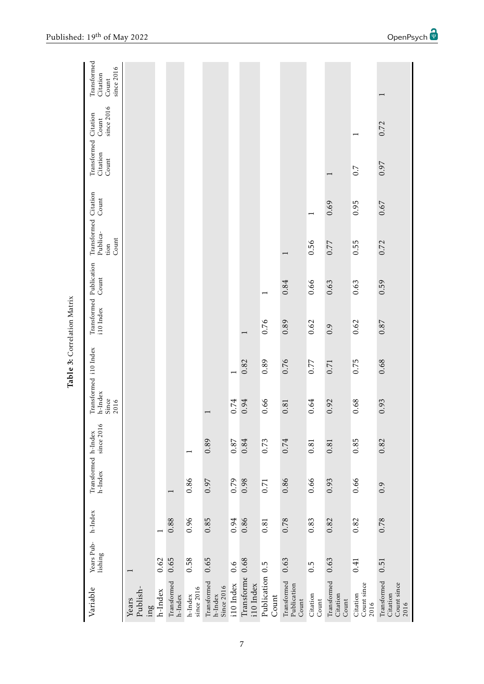<span id="page-6-0"></span>

| Variable                                       | Years Pub-<br>lishing | $h$ -Index | Transformed h-Index<br>$h$ -Index | $\circ$<br>$\rm since~201$ | Transformed i10 Index<br>$h$ -Index<br>Since<br>2016 | Transformed Publication<br>Count<br>i10 Index | Publica-<br>Count<br>tion | Transformed Citation<br>Count | Transformed Citation<br>Citation<br>Count | since 2016<br>Count      | Transformed<br>since 2016<br>Citation<br>Count |
|------------------------------------------------|-----------------------|------------|-----------------------------------|----------------------------|------------------------------------------------------|-----------------------------------------------|---------------------------|-------------------------------|-------------------------------------------|--------------------------|------------------------------------------------|
| Publish-<br>Years<br>$\lim_{\delta}$           |                       |            |                                   |                            |                                                      |                                               |                           |                               |                                           |                          |                                                |
| h-Index                                        | 0.62                  |            |                                   |                            |                                                      |                                               |                           |                               |                                           |                          |                                                |
| Transformed<br>h-Index                         | 0.65                  | 0.88       |                                   |                            |                                                      |                                               |                           |                               |                                           |                          |                                                |
| since 2016<br>h-Index                          | 0.58                  | 0.96       | 0.86                              | $\overline{\phantom{0}}$   |                                                      |                                               |                           |                               |                                           |                          |                                                |
| Transformed<br>Since 2016<br>h-Index           | 0.65                  | 0.85       | 0.97                              | 0.89                       |                                                      |                                               |                           |                               |                                           |                          |                                                |
| i10 Index                                      | 0.6                   | 0.94       | 0.79                              | 0.87                       | 0.74                                                 |                                               |                           |                               |                                           |                          |                                                |
| Transforme<br>i10 Index                        | 0.68                  | 0.86       | 0.98                              | 0.84                       | 0.82<br>0.94                                         |                                               |                           |                               |                                           |                          |                                                |
| Publication<br>Count                           | $0.\overline{5}$      | 0.81       | 0.71                              | 0.73                       | 0.89<br>0.66                                         | $\overline{\phantom{0}}$<br>0.76              |                           |                               |                                           |                          |                                                |
| Transformed<br>Publication<br>Count            | 0.63                  | 0.78       | 0.86                              | 0.74                       | 0.76<br>0.81                                         | 0.84<br>0.89                                  |                           |                               |                                           |                          |                                                |
| Citation<br>Count                              | 0.5                   | 0.83       | 0.66                              | 0.81                       | 0.77<br>0.64                                         | 0.66<br>0.62                                  | 0.56                      |                               |                                           |                          |                                                |
| Transformed<br>Citation<br>Count               | 0.63                  | 0.82       | 0.93                              | 0.81                       | 0.71<br>0.92                                         | 0.63<br>0.9                                   | 0.77                      | 0.69                          |                                           |                          |                                                |
| Count since<br>Citation<br>2016                | 0.41                  | 0.82       | 0.66                              | 0.85                       | 0.75<br>0.68                                         | 0.63<br>0.62                                  | 0.55                      | 0.95                          | $0.7\,$                                   | $\overline{\phantom{0}}$ |                                                |
| Transformed<br>Count since<br>Citation<br>2016 | 0.51                  | 0.78       | 0.9                               | 0.82                       | 0.68<br>0.93                                         | 0.59<br>0.87                                  | 0.72                      | 0.67                          | 0.97                                      | 0.72                     |                                                |
|                                                |                       |            |                                   |                            |                                                      |                                               |                           |                               |                                           |                          |                                                |

Table 3: Correlation Matrix Table 3: Correlation Matrix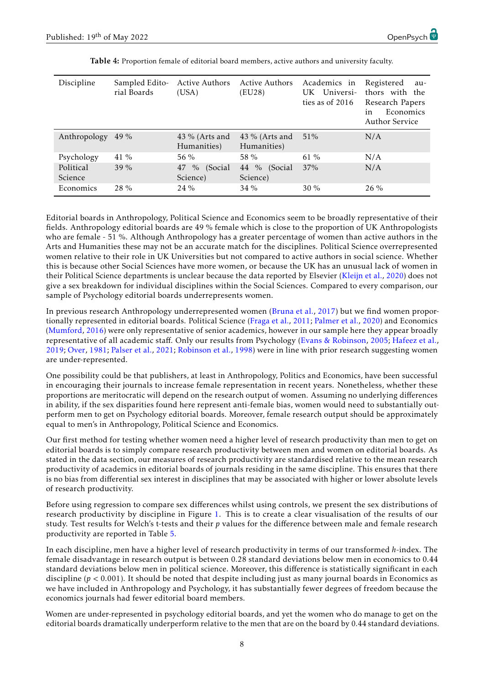<span id="page-7-0"></span>

| Discipline           | Sampled Edito-<br>rial Boards | <b>Active Authors</b><br>(USA)     | <b>Active Authors</b><br>(EU28) | Academics in<br>Universi-<br>UK.<br>ties as of 2016 | Registered<br>-au<br>thors with the<br>Research Papers<br>Economics<br>in<br>Author Service |
|----------------------|-------------------------------|------------------------------------|---------------------------------|-----------------------------------------------------|---------------------------------------------------------------------------------------------|
| Anthropology         | 49 %                          | 43 % (Arts and<br>Humanities)      | 43 % (Arts and<br>Humanities)   | 51%                                                 | N/A                                                                                         |
| Psychology           | 41 %                          | 56 $%$                             | 58 %                            | 61 \%                                               | N/A                                                                                         |
| Political<br>Science | 39 %                          | $\%$<br>(Social)<br>47<br>Science) | 44 %<br>(Social)<br>Science)    | 37%                                                 | N/A                                                                                         |
| Economics            | 28 %                          | $24\%$                             | $34\%$                          | $30\%$                                              | $26\%$                                                                                      |

|  |  |  | Table 4: Proportion female of editorial board members, active authors and university faculty. |  |  |  |  |  |
|--|--|--|-----------------------------------------------------------------------------------------------|--|--|--|--|--|
|--|--|--|-----------------------------------------------------------------------------------------------|--|--|--|--|--|

Editorial boards in Anthropology, Political Science and Economics seem to be broadly representative of their fields. Anthropology editorial boards are 49 % female which is close to the proportion of UK Anthropologists who are female - 51 %. Although Anthropology has a greater percentage of women than active authors in the Arts and Humanities these may not be an accurate match for the disciplines. Political Science overrepresented women relative to their role in UK Universities but not compared to active authors in social science. Whether this is because other Social Sciences have more women, or because the UK has an unusual lack of women in their Political Science departments is unclear because the data reported by Elsevier [\(Kleijn et al.,](#page-19-15) [2020\)](#page-19-15) does not give a sex breakdown for individual disciplines within the Social Sciences. Compared to every comparison, our sample of Psychology editorial boards underrepresents women.

In previous research Anthropology underrepresented women [\(Bruna et al.,](#page-17-14) [2017\)](#page-17-14) but we find women proportionally represented in editorial boards. Political Science [\(Fraga et al.,](#page-18-17) [2011;](#page-18-17) [Palmer et al.,](#page-20-16) [2020\)](#page-20-16) and Economics [\(Mumford,](#page-20-17) [2016\)](#page-20-17) were only representative of senior academics, however in our sample here they appear broadly representative of all academic staff. Only our results from Psychology [\(Evans & Robinson,](#page-18-16) [2005;](#page-18-16) [Hafeez et al.,](#page-18-11) [2019;](#page-18-11) [Over,](#page-20-14) [1981;](#page-20-14) [Palser et al.,](#page-20-15) [2021;](#page-20-15) [Robinson et al.,](#page-21-10) [1998\)](#page-21-10) were in line with prior research suggesting women are under-represented.

One possibility could be that publishers, at least in Anthropology, Politics and Economics, have been successful in encouraging their journals to increase female representation in recent years. Nonetheless, whether these proportions are meritocratic will depend on the research output of women. Assuming no underlying differences in ability, if the sex disparities found here represent anti-female bias, women would need to substantially outperform men to get on Psychology editorial boards. Moreover, female research output should be approximately equal to men's in Anthropology, Political Science and Economics.

Our first method for testing whether women need a higher level of research productivity than men to get on editorial boards is to simply compare research productivity between men and women on editorial boards. As stated in the data section, our measures of research productivity are standardised relative to the mean research productivity of academics in editorial boards of journals residing in the same discipline. This ensures that there is no bias from differential sex interest in disciplines that may be associated with higher or lower absolute levels of research productivity.

Before using regression to compare sex differences whilst using controls, we present the sex distributions of research productivity by discipline in Figure [1.](#page-8-0) This is to create a clear visualisation of the results of our study. Test results for Welch's t-tests and their *p* values for the difference between male and female research productivity are reported in Table [5.](#page-8-1)

In each discipline, men have a higher level of research productivity in terms of our transformed *h*-index. The female disadvantage in research output is between 0.28 standard deviations below men in economics to 0.44 standard deviations below men in political science. Moreover, this difference is statistically significant in each discipline ( $p < 0.001$ ). It should be noted that despite including just as many journal boards in Economics as we have included in Anthropology and Psychology, it has substantially fewer degrees of freedom because the economics journals had fewer editorial board members.

Women are under-represented in psychology editorial boards, and yet the women who do manage to get on the editorial boards dramatically underperform relative to the men that are on the board by 0.44 standard deviations.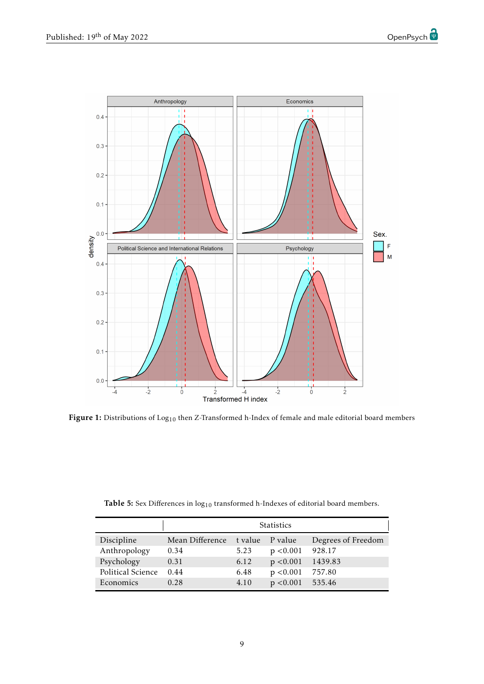<span id="page-8-0"></span>

Figure 1: Distributions of  $\mathrm{Log}_{10}$  then Z-Transformed h-Index of female and male editorial board members

| <b>Table 5:</b> Sex Differences in $log_{10}$ transformed h-Indexes of editorial board members. |
|-------------------------------------------------------------------------------------------------|
|                                                                                                 |

<span id="page-8-1"></span>

|                   |                 |         | <b>Statistics</b> |                    |
|-------------------|-----------------|---------|-------------------|--------------------|
| Discipline        | Mean Difference | t value | P value           | Degrees of Freedom |
| Anthropology      | 0.34            | 5.23    | p < 0.001         | 928.17             |
| Psychology        | 0.31            | 6.12    | p < 0.001         | 1439.83            |
| Political Science | 0.44            | 6.48    | p < 0.001         | 757.80             |
| Economics         | 0.28            | 4.10    | p < 0.001         | 535.46             |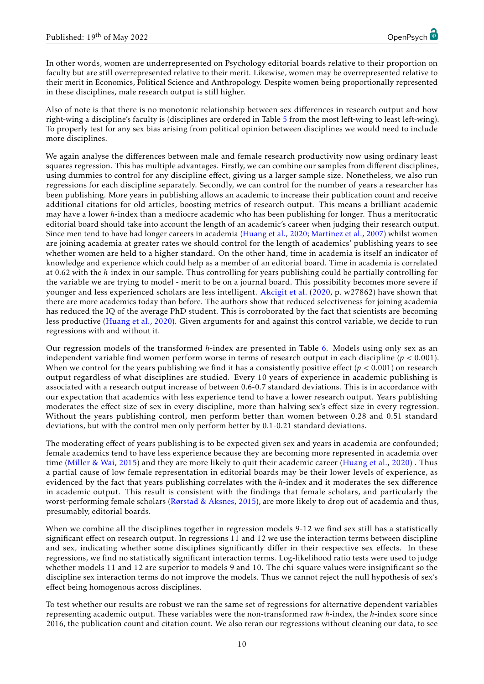In other words, women are underrepresented on Psychology editorial boards relative to their proportion on faculty but are still overrepresented relative to their merit. Likewise, women may be overrepresented relative to their merit in Economics, Political Science and Anthropology. Despite women being proportionally represented in these disciplines, male research output is still higher.

Also of note is that there is no monotonic relationship between sex differences in research output and how right-wing a discipline's faculty is (disciplines are ordered in Table [5](#page-8-1) from the most left-wing to least left-wing). To properly test for any sex bias arising from political opinion between disciplines we would need to include more disciplines.

We again analyse the differences between male and female research productivity now using ordinary least squares regression. This has multiple advantages. Firstly, we can combine our samples from different disciplines, using dummies to control for any discipline effect, giving us a larger sample size. Nonetheless, we also run regressions for each discipline separately. Secondly, we can control for the number of years a researcher has been publishing. More years in publishing allows an academic to increase their publication count and receive additional citations for old articles, boosting metrics of research output. This means a brilliant academic may have a lower *h*-index than a mediocre academic who has been publishing for longer. Thus a meritocratic editorial board should take into account the length of an academic's career when judging their research output. Since men tend to have had longer careers in academia [\(Huang et al.,](#page-19-0) [2020;](#page-19-0) [Martinez et al.,](#page-20-18) [2007\)](#page-20-18) whilst women are joining academia at greater rates we should control for the length of academics' publishing years to see whether women are held to a higher standard. On the other hand, time in academia is itself an indicator of knowledge and experience which could help as a member of an editorial board. Time in academia is correlated at 0.62 with the *h*-index in our sample. Thus controlling for years publishing could be partially controlling for the variable we are trying to model - merit to be on a journal board. This possibility becomes more severe if younger and less experienced scholars are less intelligent. [Akcigit et al.](#page-17-15) [\(2020,](#page-17-15) p. w27862) have shown that there are more academics today than before. The authors show that reduced selectiveness for joining academia has reduced the IQ of the average PhD student. This is corroborated by the fact that scientists are becoming less productive [\(Huang et al.,](#page-19-0) [2020\)](#page-19-0). Given arguments for and against this control variable, we decide to run regressions with and without it.

Our regression models of the transformed *h*-index are presented in Table [6.](#page-10-0) Models using only sex as an independent variable find women perform worse in terms of research output in each discipline (*p* < 0.001). When we control for the years publishing we find it has a consistently positive effect (*p* < 0.001) on research output regardless of what disciplines are studied. Every 10 years of experience in academic publishing is associated with a research output increase of between 0.6-0.7 standard deviations. This is in accordance with our expectation that academics with less experience tend to have a lower research output. Years publishing moderates the effect size of sex in every discipline, more than halving sex's effect size in every regression. Without the years publishing control, men perform better than women between 0.28 and 0.51 standard deviations, but with the control men only perform better by 0.1-0.21 standard deviations.

The moderating effect of years publishing is to be expected given sex and years in academia are confounded; female academics tend to have less experience because they are becoming more represented in academia over time [\(Miller & Wai,](#page-20-19) [2015\)](#page-20-19) and they are more likely to quit their academic career [\(Huang et al.,](#page-19-0) [2020\)](#page-19-0) . Thus a partial cause of low female representation in editorial boards may be their lower levels of experience, as evidenced by the fact that years publishing correlates with the *h*-index and it moderates the sex difference in academic output. This result is consistent with the findings that female scholars, and particularly the worst-performing female scholars [\(Rørstad & Aksnes,](#page-21-11) [2015\)](#page-21-11), are more likely to drop out of academia and thus, presumably, editorial boards.

When we combine all the disciplines together in regression models 9-12 we find sex still has a statistically significant effect on research output. In regressions 11 and 12 we use the interaction terms between discipline and sex, indicating whether some disciplines significantly differ in their respective sex effects. In these regressions, we find no statistically significant interaction terms. Log-likelihood ratio tests were used to judge whether models 11 and 12 are superior to models 9 and 10. The chi-square values were insignificant so the discipline sex interaction terms do not improve the models. Thus we cannot reject the null hypothesis of sex's effect being homogenous across disciplines.

To test whether our results are robust we ran the same set of regressions for alternative dependent variables representing academic output. These variables were the non-transformed raw *h*-index, the *h*-index score since 2016, the publication count and citation count. We also reran our regressions without cleaning our data, to see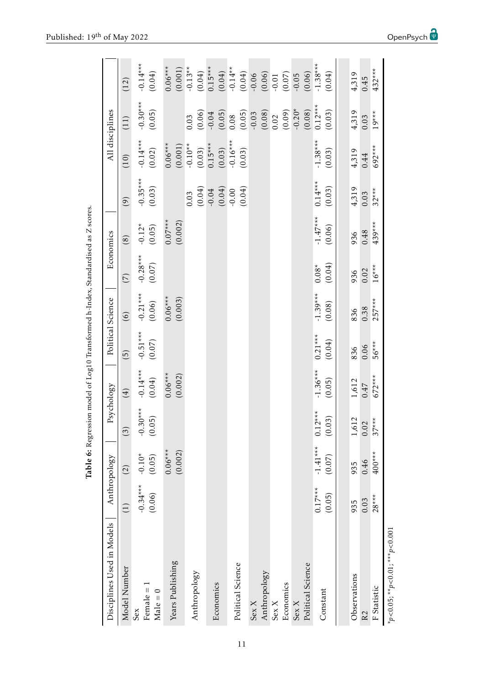<span id="page-10-0"></span>

| Disciplines Used in Models           |                      | Anthropology         | Psychology           |                      | Political Science    |                      | Economics                  |                      |                      | All disciplines                    |                                                         |                                                                   |
|--------------------------------------|----------------------|----------------------|----------------------|----------------------|----------------------|----------------------|----------------------------|----------------------|----------------------|------------------------------------|---------------------------------------------------------|-------------------------------------------------------------------|
|                                      | $\overline{1}$       | (2)                  | $\binom{3}{ }$       | $\bigoplus$          | $\widetilde{5}$      | $\odot$              | $\widehat{\triangleright}$ | $\circled{s}$        | $\widetilde{e}$      | (10)                               | (11)                                                    | (12)                                                              |
|                                      | $-0.34***$<br>(0.06) | $-0.10*$<br>(0.05)   | $-0.30***$<br>(0.05) | $-0.14***$<br>(0.04) | $-0.51***$<br>(0.07) | $-0.21***$<br>(0.06) | $-0.28***$<br>(0.07)       | $-0.12*$<br>(0.05)   | $-0.35***$<br>(0.03) | $-0.14***$<br>(0.02)               | $-0.30***$<br>(0.05)                                    | $-0.14***$<br>(0.04)                                              |
|                                      |                      | $0.06***$<br>(0.002) |                      | $0.06***$<br>(0.002) |                      | $0.06***$<br>(0.003) |                            | $0.07***$<br>(0.002) |                      | $0.06***$                          |                                                         | $0.06***$                                                         |
|                                      |                      |                      |                      |                      |                      |                      |                            |                      | (0.04)<br>0.03       | $(0.001)$<br>$-0.10**$<br>$(0.03)$ | (0.06)<br>0.03                                          | $(0.001)$<br>-0.13**<br>(0.04)                                    |
|                                      |                      |                      |                      |                      |                      |                      |                            |                      | (0.04)<br>$-0.04$    | $0.15***$<br>(0.03)                | $-0.04$                                                 | $0.15***$                                                         |
|                                      |                      |                      |                      |                      |                      |                      |                            |                      | (0.04)<br>$-0.00$    | $-0.16***$<br>(0.03)               | $\frac{(0.05)}{0.08}$<br>(0.05)                         | $(0.04)$<br>$-0.14**$<br>$(0.04)$                                 |
|                                      |                      |                      |                      |                      |                      |                      |                            |                      |                      |                                    | $-0.03$                                                 | $\begin{array}{c} -0.06 \\ (0.06) \\ -0.01 \\ (0.07) \end{array}$ |
|                                      |                      |                      |                      |                      |                      |                      |                            |                      |                      |                                    | (0.09)<br>$\begin{array}{c} (0.08) \\ 0.02 \end{array}$ |                                                                   |
|                                      |                      |                      |                      |                      |                      |                      |                            |                      |                      |                                    | $-0.20*$                                                | $-0.05$                                                           |
|                                      |                      |                      |                      |                      |                      |                      |                            |                      |                      |                                    | $(0.08)$<br>0.12***                                     |                                                                   |
|                                      | $0.17***$<br>(0.05)  | $-1.41***$<br>(0.07) | $0.12***$<br>(0.03)  | $-1.36***$<br>(0.05) | $0.21***$<br>(0.04)  | $-1.39***$<br>(0.08) | (0.04)<br>$0.08*$          | $-1.47***$<br>(0.06) | $0.14***$<br>(0.03)  | $-1.38***$<br>(0.03)               | (0.03)                                                  | $(0.06)$<br>-1.38***<br>(0.04)                                    |
|                                      |                      |                      |                      |                      |                      |                      |                            |                      |                      |                                    |                                                         |                                                                   |
|                                      | 935                  | 935                  | 1,612                | 1,612                | 836                  | 836                  | 936                        | 936                  | 4,319                | 4,319                              | 4,319                                                   | 4,319                                                             |
|                                      | 0.03                 | 0.46                 | 0.02                 | 0.47                 | 0.06                 | 0.38                 | 0.02                       | 0.48                 | 0.03                 | 0.44                               | 0.03                                                    | 0.45                                                              |
|                                      | $28***$              | $400***$             | $37***$              | $672***$             | 56***                | $257***$             | $16***$                    | $439***$             | $32***$              | 692***                             | $19***$                                                 | $432***$                                                          |
| LUU U / "*** ' LU U / "** 'NU U / "* |                      |                      |                      |                      |                      |                      |                            |                      |                      |                                    |                                                         |                                                                   |

Table 6: Regression model of Log10 Transformed h-Index, Standardised as Z scores. Table 6: Regression model of Log10 Transformed h-Index, Standardised as Z scores.

\**p*<0.05; \*\**p*<0.01; \*\*\**p*<0.001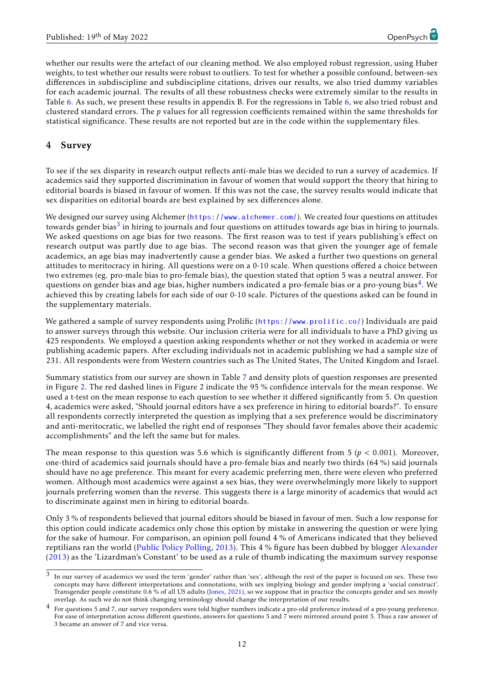whether our results were the artefact of our cleaning method. We also employed robust regression, using Huber weights, to test whether our results were robust to outliers. To test for whether a possible confound, between-sex differences in subdiscipline and subdiscipline citations, drives our results, we also tried dummy variables for each academic journal. The results of all these robustness checks were extremely similar to the results in Table [6.](#page-10-0) As such, we present these results in appendix B. For the regressions in Table [6,](#page-10-0) we also tried robust and clustered standard errors. The *p* values for all regression coefficients remained within the same thresholds for statistical significance. These results are not reported but are in the code within the supplementary files.

## 4 Survey

To see if the sex disparity in research output reflects anti-male bias we decided to run a survey of academics. If academics said they supported discrimination in favour of women that would support the theory that hiring to editorial boards is biased in favour of women. If this was not the case, the survey results would indicate that sex disparities on editorial boards are best explained by sex differences alone.

We designed our survey using Alchemer (<https://www.alchemer.com/>). We created four questions on attitudes towards gender bias<sup>[3](#page-11-0)</sup> in hiring to journals and four questions on attitudes towards age bias in hiring to journals. We asked questions on age bias for two reasons. The first reason was to test if years publishing's effect on research output was partly due to age bias. The second reason was that given the younger age of female academics, an age bias may inadvertently cause a gender bias. We asked a further two questions on general attitudes to meritocracy in hiring. All questions were on a 0-10 scale. When questions offered a choice between two extremes (eg. pro-male bias to pro-female bias), the question stated that option 5 was a neutral answer. For questions on gender bias and age bias, higher numbers indicated a pro-female bias or a pro-young bias $^4$  $^4$ . We achieved this by creating labels for each side of our 0-10 scale. Pictures of the questions asked can be found in the supplementary materials.

We gathered a sample of survey respondents using Prolific (<https://www.prolific.co/>) Individuals are paid to answer surveys through this website. Our inclusion criteria were for all individuals to have a PhD giving us 425 respondents. We employed a question asking respondents whether or not they worked in academia or were publishing academic papers. After excluding individuals not in academic publishing we had a sample size of 231. All respondents were from Western countries such as The United States, The United Kingdom and Israel.

Summary statistics from our survey are shown in Table [7](#page-12-0) and density plots of question responses are presented in Figure [2.](#page-13-0) The red dashed lines in Figure 2 indicate the 95 % confidence intervals for the mean response. We used a t-test on the mean response to each question to see whether it differed significantly from 5. On question 4, academics were asked, "Should journal editors have a sex preference in hiring to editorial boards?". To ensure all respondents correctly interpreted the question as implying that a sex preference would be discriminatory and anti-meritocratic, we labelled the right end of responses "They should favor females above their academic accomplishments" and the left the same but for males.

The mean response to this question was 5.6 which is significantly different from 5 ( $p < 0.001$ ). Moreover, one-third of academics said journals should have a pro-female bias and nearly two thirds (64 %) said journals should have no age preference. This meant for every academic preferring men, there were eleven who preferred women. Although most academics were against a sex bias, they were overwhelmingly more likely to support journals preferring women than the reverse. This suggests there is a large minority of academics that would act to discriminate against men in hiring to editorial boards.

Only 3 % of respondents believed that journal editors should be biased in favour of men. Such a low response for this option could indicate academics only chose this option by mistake in answering the question or were lying for the sake of humour. For comparison, an opinion poll found 4 % of Americans indicated that they believed reptilians ran the world [\(Public Policy Polling,](#page-21-14) [2013\)](#page-21-14). This 4 % figure has been dubbed by blogger [Alexander](#page-17-16) [\(2013\)](#page-17-16) as the 'Lizardman's Constant' to be used as a rule of thumb indicating the maximum survey response

<span id="page-11-0"></span><sup>3</sup> In our survey of academics we used the term 'gender' rather than 'sex', although the rest of the paper is focused on sex. These two concepts may have different interpretations and connotations, with sex implying biology and gender implying a 'social construct'. Transgender people constitute 0.6 % of all US adults [\(Jones,](#page-19-17) [2021\)](#page-19-17), so we suppose that in practice the concepts gender and sex mostly overlap. As such we do not think changing terminology should change the interpretation of our results.

<span id="page-11-1"></span><sup>4</sup> For questions 5 and 7, our survey responders were told higher numbers indicate a pro-old preference instead of a pro-young preference. For ease of interpretation across different questions, answers for questions 5 and 7 were mirrored around point 5. Thus a raw answer of 3 became an answer of 7 and vice versa.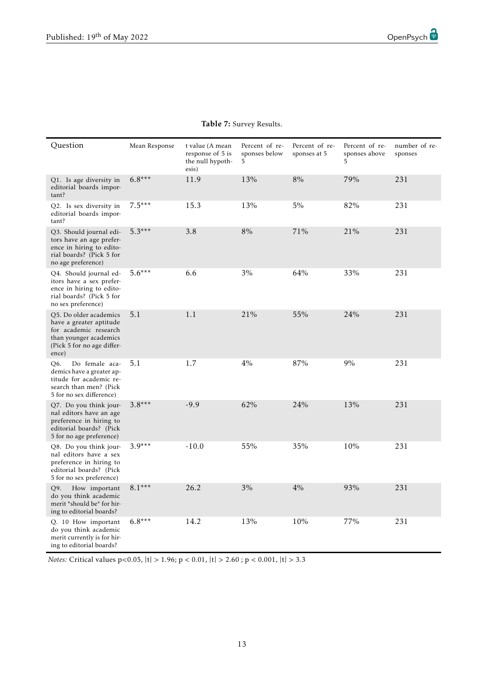<span id="page-12-0"></span>

| Question                                                                                                                                    | Mean Response | t value (A mean<br>response of 5 is<br>the null hypoth-<br>esis) | Percent of re-<br>sponses below<br>5 | Percent of re-<br>sponses at 5 | Percent of re-<br>sponses above<br>5 | number of re-<br>sponses |
|---------------------------------------------------------------------------------------------------------------------------------------------|---------------|------------------------------------------------------------------|--------------------------------------|--------------------------------|--------------------------------------|--------------------------|
| Q1. Is age diversity in<br>editorial boards impor-<br>tant?                                                                                 | $6.8***$      | 11.9                                                             | 13%                                  | 8%                             | 79%                                  | 231                      |
| Q2. Is sex diversity in<br>editorial boards impor-<br>tant?                                                                                 | $7.5***$      | 15.3                                                             | 13%                                  | 5%                             | 82%                                  | 231                      |
| Q3. Should journal edi-<br>tors have an age prefer-<br>ence in hiring to edito-<br>rial boards? (Pick 5 for<br>no age preference)           | $5.3***$      | 3.8                                                              | $8\%$                                | 71%                            | 21%                                  | 231                      |
| Q4. Should journal ed-<br>itors have a sex prefer-<br>ence in hiring to edito-<br>rial boards? (Pick 5 for<br>no sex preference)            | $5.6***$      | 6.6                                                              | 3%                                   | 64%                            | 33%                                  | 231                      |
| O5. Do older academics<br>have a greater aptitude<br>for academic research<br>than younger academics<br>(Pick 5 for no age differ-<br>ence) | 5.1           | 1.1                                                              | 21%                                  | 55%                            | 24%                                  | 231                      |
| Q6.<br>Do female aca-<br>demics have a greater ap-<br>titude for academic re-<br>search than men? (Pick<br>5 for no sex difference)         | 5.1           | 1.7                                                              | 4%                                   | 87%                            | 9%                                   | 231                      |
| Q7. Do you think jour-<br>nal editors have an age<br>preference in hiring to<br>editorial boards? (Pick<br>5 for no age preference)         | $3.8***$      | $-9.9$                                                           | 62%                                  | 24%                            | 13%                                  | 231                      |
| Q8. Do you think jour-<br>nal editors have a sex<br>preference in hiring to<br>editorial boards? (Pick<br>5 for no sex preference)          | $3.9***$      | $-10.0$                                                          | 55%                                  | 35%                            | 10%                                  | 231                      |
| Q9.<br>How important<br>do you think academic<br>merit *should be* for hir-<br>ing to editorial boards?                                     | $8.1***$      | 26.2                                                             | 3%                                   | $4\%$                          | 93%                                  | 231                      |
| Q. 10 How important<br>do you think academic<br>merit currently is for hir-<br>ing to editorial boards?                                     | $6.8***$      | 14.2                                                             | 13%                                  | 10%                            | 77%                                  | 231                      |

## Table 7: Survey Results.

*Notes:* Critical values p<0.05, |t| > 1.96; p < 0.01, |t| > 2.60 ; p < 0.001, |t| > 3.3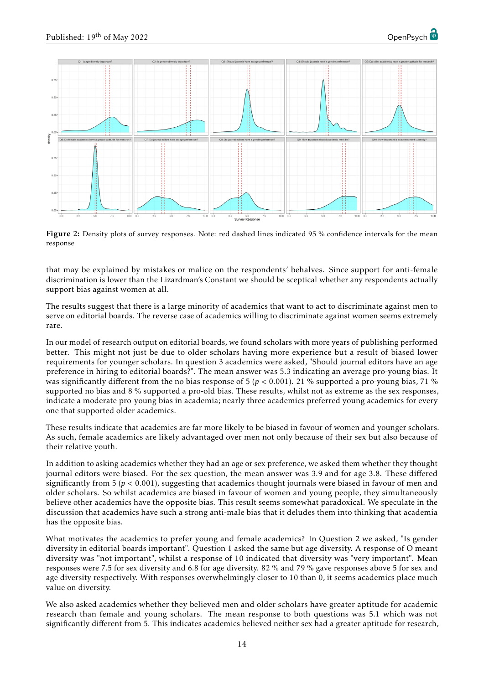<span id="page-13-0"></span>

Figure 2: Density plots of survey responses. Note: red dashed lines indicated 95 % confidence intervals for the mean response

that may be explained by mistakes or malice on the respondents' behalves. Since support for anti-female discrimination is lower than the Lizardman's Constant we should be sceptical whether any respondents actually support bias against women at all.

The results suggest that there is a large minority of academics that want to act to discriminate against men to serve on editorial boards. The reverse case of academics willing to discriminate against women seems extremely rare.

In our model of research output on editorial boards, we found scholars with more years of publishing performed better. This might not just be due to older scholars having more experience but a result of biased lower requirements for younger scholars. In question 3 academics were asked, "Should journal editors have an age preference in hiring to editorial boards?". The mean answer was 5.3 indicating an average pro-young bias. It was significantly different from the no bias response of  $5$  ( $p < 0.001$ ). 21 % supported a pro-young bias, 71 % supported no bias and 8 % supported a pro-old bias. These results, whilst not as extreme as the sex responses, indicate a moderate pro-young bias in academia; nearly three academics preferred young academics for every one that supported older academics.

These results indicate that academics are far more likely to be biased in favour of women and younger scholars. As such, female academics are likely advantaged over men not only because of their sex but also because of their relative youth.

In addition to asking academics whether they had an age or sex preference, we asked them whether they thought journal editors were biased. For the sex question, the mean answer was 3.9 and for age 3.8. These differed significantly from 5 ( $p < 0.001$ ), suggesting that academics thought journals were biased in favour of men and older scholars. So whilst academics are biased in favour of women and young people, they simultaneously believe other academics have the opposite bias. This result seems somewhat paradoxical. We speculate in the discussion that academics have such a strong anti-male bias that it deludes them into thinking that academia has the opposite bias.

What motivates the academics to prefer young and female academics? In Question 2 we asked, "Is gender diversity in editorial boards important". Question 1 asked the same but age diversity. A response of O meant diversity was "not important", whilst a response of 10 indicated that diversity was "very important". Mean responses were 7.5 for sex diversity and 6.8 for age diversity. 82 % and 79 % gave responses above 5 for sex and age diversity respectively. With responses overwhelmingly closer to 10 than 0, it seems academics place much value on diversity.

We also asked academics whether they believed men and older scholars have greater aptitude for academic research than female and young scholars. The mean response to both questions was 5.1 which was not significantly different from 5. This indicates academics believed neither sex had a greater aptitude for research,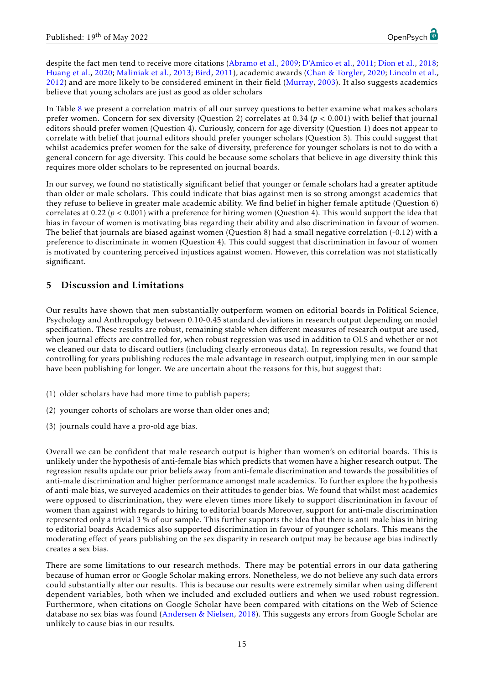despite the fact men tend to receive more citations [\(Abramo et al.,](#page-17-2) [2009;](#page-17-2) [D'Amico et al.,](#page-18-4) [2011;](#page-18-4) [Dion et al.,](#page-18-5) [2018;](#page-18-5) [Huang et al.,](#page-19-0) [2020;](#page-19-0) [Maliniak et al.,](#page-20-0) [2013;](#page-20-0) [Bird,](#page-17-3) [2011\)](#page-17-3), academic awards [\(Chan & Torgler,](#page-17-4) [2020;](#page-17-4) [Lincoln et al.,](#page-19-1) [2012\)](#page-19-1) and are more likely to be considered eminent in their field [\(Murray,](#page-20-1) [2003\)](#page-20-1). It also suggests academics believe that young scholars are just as good as older scholars

In Table [8](#page-15-0) we present a correlation matrix of all our survey questions to better examine what makes scholars prefer women. Concern for sex diversity (Question 2) correlates at 0.34 (*p* < 0.001) with belief that journal editors should prefer women (Question 4). Curiously, concern for age diversity (Question 1) does not appear to correlate with belief that journal editors should prefer younger scholars (Question 3). This could suggest that whilst academics prefer women for the sake of diversity, preference for younger scholars is not to do with a general concern for age diversity. This could be because some scholars that believe in age diversity think this requires more older scholars to be represented on journal boards.

In our survey, we found no statistically significant belief that younger or female scholars had a greater aptitude than older or male scholars. This could indicate that bias against men is so strong amongst academics that they refuse to believe in greater male academic ability. We find belief in higher female aptitude (Question 6) correlates at 0.22 (*p* < 0.001) with a preference for hiring women (Question 4). This would support the idea that bias in favour of women is motivating bias regarding their ability and also discrimination in favour of women. The belief that journals are biased against women (Question 8) had a small negative correlation (-0.12) with a preference to discriminate in women (Question 4). This could suggest that discrimination in favour of women is motivated by countering perceived injustices against women. However, this correlation was not statistically significant.

### 5 Discussion and Limitations

Our results have shown that men substantially outperform women on editorial boards in Political Science, Psychology and Anthropology between 0.10-0.45 standard deviations in research output depending on model specification. These results are robust, remaining stable when different measures of research output are used, when journal effects are controlled for, when robust regression was used in addition to OLS and whether or not we cleaned our data to discard outliers (including clearly erroneous data). In regression results, we found that controlling for years publishing reduces the male advantage in research output, implying men in our sample have been publishing for longer. We are uncertain about the reasons for this, but suggest that:

- (1) older scholars have had more time to publish papers;
- (2) younger cohorts of scholars are worse than older ones and;
- (3) journals could have a pro-old age bias.

Overall we can be confident that male research output is higher than women's on editorial boards. This is unlikely under the hypothesis of anti-female bias which predicts that women have a higher research output. The regression results update our prior beliefs away from anti-female discrimination and towards the possibilities of anti-male discrimination and higher performance amongst male academics. To further explore the hypothesis of anti-male bias, we surveyed academics on their attitudes to gender bias. We found that whilst most academics were opposed to discrimination, they were eleven times more likely to support discrimination in favour of women than against with regards to hiring to editorial boards Moreover, support for anti-male discrimination represented only a trivial 3 % of our sample. This further supports the idea that there is anti-male bias in hiring to editorial boards Academics also supported discrimination in favour of younger scholars. This means the moderating effect of years publishing on the sex disparity in research output may be because age bias indirectly creates a sex bias.

There are some limitations to our research methods. There may be potential errors in our data gathering because of human error or Google Scholar making errors. Nonetheless, we do not believe any such data errors could substantially alter our results. This is because our results were extremely similar when using different dependent variables, both when we included and excluded outliers and when we used robust regression. Furthermore, when citations on Google Scholar have been compared with citations on the Web of Science database no sex bias was found [\(Andersen & Nielsen,](#page-17-17) [2018\)](#page-17-17). This suggests any errors from Google Scholar are unlikely to cause bias in our results.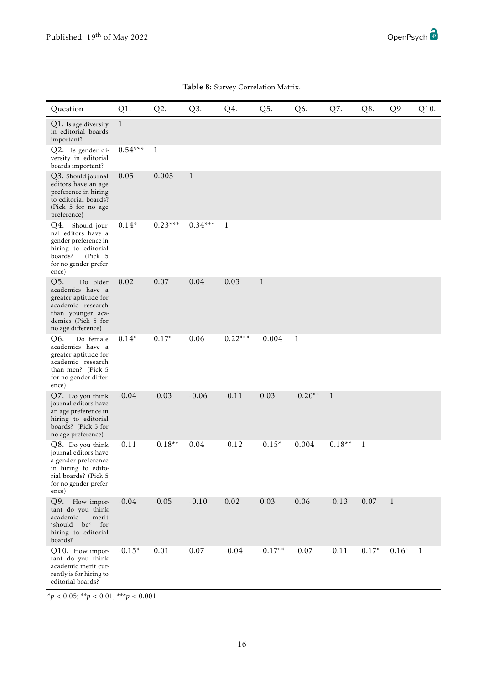<span id="page-15-0"></span>

| Question                                                                                                                                          | Q1.          | Q2.          | Q3.          | Q4.          | Q5.          | Q <sub>6</sub> . | Q7.          | Q8.          | Q <sub>9</sub> | Q10. |
|---------------------------------------------------------------------------------------------------------------------------------------------------|--------------|--------------|--------------|--------------|--------------|------------------|--------------|--------------|----------------|------|
| Q1. Is age diversity<br>in editorial boards<br>important?                                                                                         | $\mathbf{1}$ |              |              |              |              |                  |              |              |                |      |
| Q2. Is gender di-<br>versity in editorial<br>boards important?                                                                                    | $0.54***$    | $\mathbf{1}$ |              |              |              |                  |              |              |                |      |
| Q3. Should journal<br>editors have an age<br>preference in hiring<br>to editorial boards?<br>(Pick 5 for no age<br>preference)                    | 0.05         | 0.005        | $\mathbf{1}$ |              |              |                  |              |              |                |      |
| Q4. Should jour-<br>nal editors have a<br>gender preference in<br>hiring to editorial<br>boards?<br>(Pick 5)<br>for no gender prefer-<br>ence)    | $0.14*$      | $0.23***$    | $0.34***$    | $\mathbf{1}$ |              |                  |              |              |                |      |
| Q5.<br>Do older<br>academics have a<br>greater aptitude for<br>academic research<br>than younger aca-<br>demics (Pick 5 for<br>no age difference) | 0.02         | 0.07         | 0.04         | 0.03         | $\mathbf{1}$ |                  |              |              |                |      |
| Q6.<br>Do female<br>academics have a<br>greater aptitude for<br>academic research<br>than men? (Pick 5<br>for no gender differ-<br>ence)          | $0.14*$      | $0.17*$      | 0.06         | $0.22***$    | $-0.004$     | $\mathbf{1}$     |              |              |                |      |
| Q7. Do you think<br>journal editors have<br>an age preference in<br>hiring to editorial<br>boards? (Pick 5 for<br>no age preference)              | $-0.04$      | $-0.03$      | $-0.06$      | $-0.11$      | 0.03         | $-0.20**$        | $\mathbf{1}$ |              |                |      |
| Q8. Do you think<br>journal editors have<br>a gender preference<br>in hiring to edito-<br>rial boards? (Pick 5<br>for no gender prefer-<br>ence)  | $-0.11$      | $-0.18**$    | 0.04         | $-0.12$      | $-0.15*$     | 0.004            | $0.18**$     | $\mathbf{1}$ |                |      |
| Q9.<br>How impor-<br>tant do you think<br>merit<br>academic<br>$be^*$<br>for<br>*should<br>hiring to editorial<br>boards?                         | $-0.04$      | $-0.05$      | $-0.10$      | 0.02         | 0.03         | 0.06             | $-0.13$      | 0.07         | $\mathbf{1}$   |      |
| Q10. How impor-<br>tant do you think<br>academic merit cur-<br>rently is for hiring to<br>editorial boards?                                       | $-0.15*$     | 0.01         | 0.07         | $-0.04$      | $-0.17**$    | $-0.07$          | $-0.11$      | $0.17*$      | $0.16*$        | 1    |

Table 8: Survey Correlation Matrix.

\**p* < 0.05; \*\**p* < 0.01; \*\*\**p* < 0.001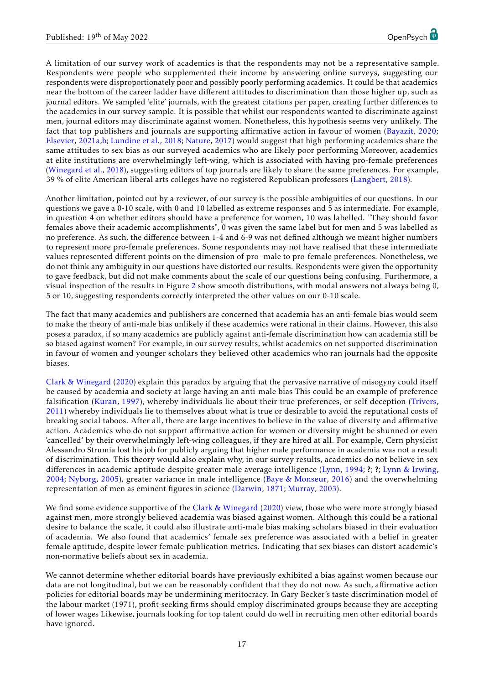A limitation of our survey work of academics is that the respondents may not be a representative sample. Respondents were people who supplemented their income by answering online surveys, suggesting our respondents were disproportionately poor and possibly poorly performing academics. It could be that academics near the bottom of the career ladder have different attitudes to discrimination than those higher up, such as journal editors. We sampled 'elite' journals, with the greatest citations per paper, creating further differences to the academics in our survey sample. It is possible that whilst our respondents wanted to discriminate against men, journal editors may discriminate against women. Nonetheless, this hypothesis seems very unlikely. The fact that top publishers and journals are supporting affirmative action in favour of women [\(Bayazit,](#page-17-10) [2020;](#page-17-10) [Elsevier,](#page-18-12) [2021a,](#page-18-12)[b;](#page-18-13) [Lundine et al.,](#page-19-9) [2018;](#page-19-9) [Nature,](#page-20-11) [2017\)](#page-20-11) would suggest that high performing academics share the same attitudes to sex bias as our surveyed academics who are likely poor performing Moreover, academics at elite institutions are overwhelmingly left-wing, which is associated with having pro-female preferences [\(Winegard et al.,](#page-21-9) [2018\)](#page-21-9), suggesting editors of top journals are likely to share the same preferences. For example, 39 % of elite American liberal arts colleges have no registered Republican professors [\(Langbert,](#page-19-14) [2018\)](#page-19-14).

Another limitation, pointed out by a reviewer, of our survey is the possible ambiguities of our questions. In our questions we gave a 0-10 scale, with 0 and 10 labelled as extreme responses and 5 as intermediate. For example, in question 4 on whether editors should have a preference for women, 10 was labelled. "They should favor females above their academic accomplishments", 0 was given the same label but for men and 5 was labelled as no preference. As such, the difference between 1-4 and 6-9 was not defined although we meant higher numbers to represent more pro-female preferences. Some respondents may not have realised that these intermediate values represented different points on the dimension of pro- male to pro-female preferences. Nonetheless, we do not think any ambiguity in our questions have distorted our results. Respondents were given the opportunity to gave feedback, but did not make comments about the scale of our questions being confusing. Furthermore, a visual inspection of the results in Figure [2](#page-13-0) show smooth distributions, with modal answers not always being 0, 5 or 10, suggesting respondents correctly interpreted the other values on our 0-10 scale.

The fact that many academics and publishers are concerned that academia has an anti-female bias would seem to make the theory of anti-male bias unlikely if these academics were rational in their claims. However, this also poses a paradox, if so many academics are publicly against anti-female discrimination how can academia still be so biased against women? For example, in our survey results, whilst academics on net supported discrimination in favour of women and younger scholars they believed other academics who ran journals had the opposite biases.

[Clark & Winegard](#page-18-19) [\(2020\)](#page-18-19) explain this paradox by arguing that the pervasive narrative of misogyny could itself be caused by academia and society at large having an anti-male bias This could be an example of preference falsification [\(Kuran,](#page-19-18) [1997\)](#page-19-18), whereby individuals lie about their true preferences, or self-deception [\(Trivers,](#page-21-15) [2011\)](#page-21-15) whereby individuals lie to themselves about what is true or desirable to avoid the reputational costs of breaking social taboos. After all, there are large incentives to believe in the value of diversity and affirmative action. Academics who do not support affirmative action for women or diversity might be shunned or even 'cancelled' by their overwhelmingly left-wing colleagues, if they are hired at all. For example, Cern physicist Alessandro Strumia lost his job for publicly arguing that higher male performance in academia was not a result of discrimination. This theory would also explain why, in our survey results, academics do not believe in sex differences in academic aptitude despite greater male average intelligence [\(Lynn,](#page-19-4) [1994;](#page-19-4) ?; ?; [Lynn & Irwing,](#page-19-6) [2004;](#page-19-6) [Nyborg,](#page-20-4) [2005\)](#page-20-4), greater variance in male intelligence [\(Baye & Monseur,](#page-17-7) [2016\)](#page-17-7) and the overwhelming representation of men as eminent figures in science [\(Darwin,](#page-18-9) [1871;](#page-18-9) [Murray,](#page-20-1) [2003\)](#page-20-1).

We find some evidence supportive of the [Clark & Winegard](#page-18-19) [\(2020\)](#page-18-19) view, those who were more strongly biased against men, more strongly believed academia was biased against women. Although this could be a rational desire to balance the scale, it could also illustrate anti-male bias making scholars biased in their evaluation of academia. We also found that academics' female sex preference was associated with a belief in greater female aptitude, despite lower female publication metrics. Indicating that sex biases can distort academic's non-normative beliefs about sex in academia.

We cannot determine whether editorial boards have previously exhibited a bias against women because our data are not longitudinal, but we can be reasonably confident that they do not now. As such, affirmative action policies for editorial boards may be undermining meritocracy. In Gary Becker's taste discrimination model of the labour market (1971), profit-seeking firms should employ discriminated groups because they are accepting of lower wages Likewise, journals looking for top talent could do well in recruiting men other editorial boards have ignored.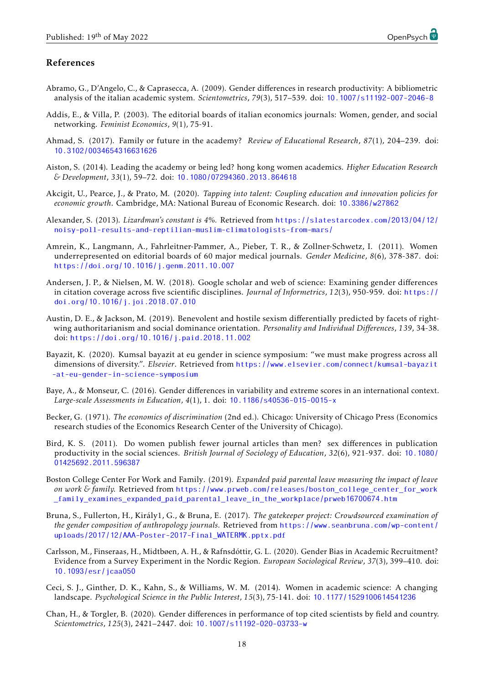#### References

- <span id="page-17-2"></span>Abramo, G., D'Angelo, C., & Caprasecca, A. (2009). Gender differences in research productivity: A bibliometric analysis of the italian academic system. *Scientometrics*, *79*(3), 517–539. doi: [10.1007/s11192-007-2046-8](https://dx.doi.org/10.1007/s11192-007-2046-8)
- <span id="page-17-9"></span>Addis, E., & Villa, P. (2003). The editorial boards of italian economics journals: Women, gender, and social networking. *Feminist Economics*, *9*(1), 75-91.
- <span id="page-17-6"></span>Ahmad, S. (2017). Family or future in the academy? *Review of Educational Research*, *87*(1), 204–239. doi: [10.3102/0034654316631626](https://dx.doi.org/10.3102/0034654316631626)
- <span id="page-17-1"></span>Aiston, S. (2014). Leading the academy or being led? hong kong women academics. *Higher Education Research & Development*, *33*(1), 59–72. doi: [10.1080/07294360.2013.864618](https://dx.doi.org/10.1080/07294360.2013.864618)
- <span id="page-17-15"></span>Akcigit, U., Pearce, J., & Prato, M. (2020). *Tapping into talent: Coupling education and innovation policies for economic growth*. Cambridge, MA: National Bureau of Economic Research. doi: [10.3386/w27862](https://dx.doi.org/10.3386/w27862)
- <span id="page-17-16"></span>Alexander, S. (2013). *Lizardman's constant is 4%.* Retrieved from [https://slatestarcodex.com/2013/04/12/](https://slatestarcodex.com/2013/04/12/noisy-poll-results-and-reptilian-muslim-climatologists-from-mars/) [noisy-poll-results-and-reptilian-muslim-climatologists-from-mars/](https://slatestarcodex.com/2013/04/12/noisy-poll-results-and-reptilian-muslim-climatologists-from-mars/)
- <span id="page-17-8"></span>Amrein, K., Langmann, A., Fahrleitner-Pammer, A., Pieber, T. R., & Zollner-Schwetz, I. (2011). Women underrepresented on editorial boards of 60 major medical journals. *Gender Medicine*, *8*(6), 378-387. doi: [https://doi.org/10.1016/j.genm.2011.10.007](https://dx.doi.org/https://doi.org/10.1016/j.genm.2011.10.007)
- <span id="page-17-17"></span>Andersen, J. P., & Nielsen, M. W. (2018). Google scholar and web of science: Examining gender differences in citation coverage across five scientific disciplines. *Journal of Informetrics*, *12*(3), 950-959. doi: [https://](https://dx.doi.org/https://doi.org/10.1016/j.joi.2018.07.010) [doi.org/10.1016/j.joi.2018.07.010](https://dx.doi.org/https://doi.org/10.1016/j.joi.2018.07.010)
- <span id="page-17-13"></span>Austin, D. E., & Jackson, M. (2019). Benevolent and hostile sexism differentially predicted by facets of rightwing authoritarianism and social dominance orientation. *Personality and Individual Differences*, *139*, 34-38. doi: [https://doi.org/10.1016/j.paid.2018.11.002](https://dx.doi.org/https://doi.org/10.1016/j.paid.2018.11.002)
- <span id="page-17-10"></span>Bayazit, K. (2020). Kumsal bayazit at eu gender in science symposium: "we must make progress across all dimensions of diversity.". *Elsevier*. Retrieved from [https://www.elsevier.com/connect/kumsal-bayazit](https://www.elsevier.com/connect/kumsal-bayazit-at-eu-gender-in-science-symposium) [-at-eu-gender-in-science-symposium](https://www.elsevier.com/connect/kumsal-bayazit-at-eu-gender-in-science-symposium)
- <span id="page-17-7"></span>Baye, A., & Monseur, C. (2016). Gender differences in variability and extreme scores in an international context. *Large-scale Assessments in Education*, *4*(1), 1. doi: [10.1186/s40536-015-0015-x](https://dx.doi.org/10.1186/s40536-015-0015-x)
- <span id="page-17-11"></span>Becker, G. (1971). *The economics of discrimination* (2nd ed.). Chicago: University of Chicago Press (Economics research studies of the Economics Research Center of the University of Chicago).
- <span id="page-17-3"></span>Bird, K. S. (2011). Do women publish fewer journal articles than men? sex differences in publication productivity in the social sciences. *British Journal of Sociology of Education*, *32*(6), 921-937. doi: [10.1080/](https://dx.doi.org/10.1080/01425692.2011.596387) [01425692.2011.596387](https://dx.doi.org/10.1080/01425692.2011.596387)
- <span id="page-17-5"></span>Boston College Center For Work and Family. (2019). *Expanded paid parental leave measuring the impact of leave on work & family.* Retrieved from [https://www.prweb.com/releases/boston\\_college\\_center\\_for\\_work](https://www.prweb.com/releases/boston_college_center_for_work_family_examines_expanded_paid_parental_leave_in_the_workplace/prweb16700674.htm) [\\_family\\_examines\\_expanded\\_paid\\_parental\\_leave\\_in\\_the\\_workplace/prweb16700674.htm](https://www.prweb.com/releases/boston_college_center_for_work_family_examines_expanded_paid_parental_leave_in_the_workplace/prweb16700674.htm)
- <span id="page-17-14"></span>Bruna, S., Fullerton, H., Király1, G., & Bruna, E. (2017). *The gatekeeper project: Crowdsourced examination of the gender composition of anthropology journals.* Retrieved from [https://www.seanbruna.com/wp-content/](https://www.seanbruna.com/wp-content/uploads/2017/12/AAA-Poster-2017-Final_WATERMK.pptx.pdf) [uploads/2017/12/AAA-Poster-2017-Final\\_WATERMK.pptx.pdf](https://www.seanbruna.com/wp-content/uploads/2017/12/AAA-Poster-2017-Final_WATERMK.pptx.pdf)
- <span id="page-17-12"></span>Carlsson, M., Finseraas, H., Midtbøen, A. H., & Rafnsdóttir, G. L. (2020). Gender Bias in Academic Recruitment? Evidence from a Survey Experiment in the Nordic Region. *European Sociological Review*, *37*(3), 399–410. doi: [10.1093/esr/jcaa050](https://dx.doi.org/10.1093/esr/jcaa050)
- <span id="page-17-0"></span>Ceci, S. J., Ginther, D. K., Kahn, S., & Williams, W. M. (2014). Women in academic science: A changing landscape. *Psychological Science in the Public Interest*, *15*(3), 75-141. doi: [10.1177/1529100614541236](https://dx.doi.org/10.1177/1529100614541236)
- <span id="page-17-4"></span>Chan, H., & Torgler, B. (2020). Gender differences in performance of top cited scientists by field and country. *Scientometrics*, *125*(3), 2421–2447. doi: [10.1007/s11192-020-03733-w](https://dx.doi.org/10.1007/s11192-020-03733-w)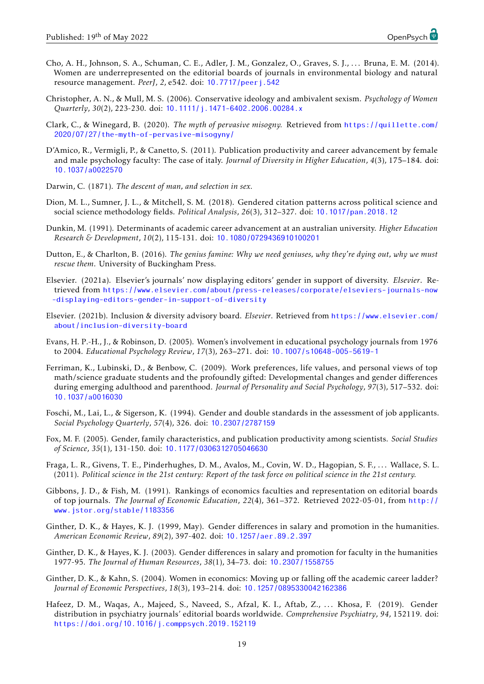- <span id="page-18-10"></span>Cho, A. H., Johnson, S. A., Schuman, C. E., Adler, J. M., Gonzalez, O., Graves, S. J., . . . Bruna, E. M. (2014). Women are underrepresented on the editorial boards of journals in environmental biology and natural resource management. *PeerJ*, *2*, e542. doi: [10.7717/peerj.542](https://dx.doi.org/10.7717/peerj.542)
- <span id="page-18-15"></span>Christopher, A. N., & Mull, M. S. (2006). Conservative ideology and ambivalent sexism. *Psychology of Women Quarterly*, *30*(2), 223-230. doi: [10.1111/j.1471-6402.2006.00284.x](https://dx.doi.org/10.1111/j.1471-6402.2006.00284.x)
- <span id="page-18-19"></span>Clark, C., & Winegard, B. (2020). *The myth of pervasive misogny.* Retrieved from [https://quillette.com/](https://quillette.com/2020/07/27/the-myth-of-pervasive-misogyny/) [2020/07/27/the-myth-of-pervasive-misogyny/](https://quillette.com/2020/07/27/the-myth-of-pervasive-misogyny/)
- <span id="page-18-4"></span>D'Amico, R., Vermigli, P., & Canetto, S. (2011). Publication productivity and career advancement by female and male psychology faculty: The case of italy. *Journal of Diversity in Higher Education*, *4*(3), 175–184. doi: [10.1037/a0022570](https://dx.doi.org/10.1037/a0022570)
- <span id="page-18-9"></span>Darwin, C. (1871). *The descent of man, and selection in sex.*
- <span id="page-18-5"></span>Dion, M. L., Sumner, J. L., & Mitchell, S. M. (2018). Gendered citation patterns across political science and social science methodology fields. *Political Analysis*, *26*(3), 312–327. doi: [10.1017/pan.2018.12](https://dx.doi.org/10.1017/pan.2018.12)
- <span id="page-18-0"></span>Dunkin, M. (1991). Determinants of academic career advancement at an australian university. *Higher Education Research & Development*, *10*(2), 115-131. doi: [10.1080/0729436910100201](https://dx.doi.org/10.1080/0729436910100201)
- <span id="page-18-8"></span>Dutton, E., & Charlton, B. (2016). *The genius famine: Why we need geniuses, why they're dying out, why we must rescue them*. University of Buckingham Press.
- <span id="page-18-12"></span>Elsevier. (2021a). Elsevier's journals' now displaying editors' gender in support of diversity. *Elsevier*. Retrieved from [https://www.elsevier.com/about/press-releases/corporate/elseviers-journals-now](https://www.elsevier.com/about/press-releases/corporate/elseviers-journals-now-displaying-editors-gender-in-support-of-diversity) [-displaying-editors-gender-in-support-of-diversity](https://www.elsevier.com/about/press-releases/corporate/elseviers-journals-now-displaying-editors-gender-in-support-of-diversity)
- <span id="page-18-13"></span>Elsevier. (2021b). Inclusion & diversity advisory board. *Elsevier*. Retrieved from [https://www.elsevier.com/](https://www.elsevier.com/about/inclusion-diversity-board) [about/inclusion-diversity-board](https://www.elsevier.com/about/inclusion-diversity-board)
- <span id="page-18-16"></span>Evans, H. P.-H., J., & Robinson, D. (2005). Women's involvement in educational psychology journals from 1976 to 2004. *Educational Psychology Review*, *17*(3), 263–271. doi: [10.1007/s10648-005-5619-1](https://dx.doi.org/10.1007/s10648-005-5619-1)
- <span id="page-18-6"></span>Ferriman, K., Lubinski, D., & Benbow, C. (2009). Work preferences, life values, and personal views of top math/science graduate students and the profoundly gifted: Developmental changes and gender differences during emerging adulthood and parenthood. *Journal of Personality and Social Psychology*, *97*(3), 517–532. doi: [10.1037/a0016030](https://dx.doi.org/10.1037/a0016030)
- <span id="page-18-14"></span>Foschi, M., Lai, L., & Sigerson, K. (1994). Gender and double standards in the assessment of job applicants. *Social Psychology Quarterly*, *57*(4), 326. doi: [10.2307/2787159](https://dx.doi.org/10.2307/2787159)
- <span id="page-18-7"></span>Fox, M. F. (2005). Gender, family characteristics, and publication productivity among scientists. *Social Studies of Science*, *35*(1), 131-150. doi: [10.1177/0306312705046630](https://dx.doi.org/10.1177/0306312705046630)
- <span id="page-18-17"></span>Fraga, L. R., Givens, T. E., Pinderhughes, D. M., Avalos, M., Covin, W. D., Hagopian, S. F., ... Wallace, S. L. (2011). *Political science in the 21st century: Report of the task force on political science in the 21st century.*
- <span id="page-18-18"></span>Gibbons, J. D., & Fish, M. (1991). Rankings of economics faculties and representation on editorial boards of top journals. *The Journal of Economic Education*, *22*(4), 361–372. Retrieved 2022-05-01, from [http://](http://www.jstor.org/stable/1183356) [www.jstor.org/stable/1183356](http://www.jstor.org/stable/1183356)
- <span id="page-18-1"></span>Ginther, D. K., & Hayes, K. J. (1999, May). Gender differences in salary and promotion in the humanities. *American Economic Review*, *89*(2), 397-402. doi: [10.1257/aer.89.2.397](https://dx.doi.org/10.1257/aer.89.2.397)
- <span id="page-18-2"></span>Ginther, D. K., & Hayes, K. J. (2003). Gender differences in salary and promotion for faculty in the humanities 1977-95. *The Journal of Human Resources*, *38*(1), 34–73. doi: [10.2307/1558755](https://dx.doi.org/10.2307/1558755)
- <span id="page-18-3"></span>Ginther, D. K., & Kahn, S. (2004). Women in economics: Moving up or falling off the academic career ladder? *Journal of Economic Perspectives*, *18*(3), 193–214. doi: [10.1257/0895330042162386](https://dx.doi.org/10.1257/0895330042162386)
- <span id="page-18-11"></span>Hafeez, D. M., Waqas, A., Majeed, S., Naveed, S., Afzal, K. I., Aftab, Z., ... Khosa, F. (2019). Gender distribution in psychiatry journals' editorial boards worldwide. *Comprehensive Psychiatry*, *94*, 152119. doi: [https://doi.org/10.1016/j.comppsych.2019.152119](https://dx.doi.org/https://doi.org/10.1016/j.comppsych.2019.152119)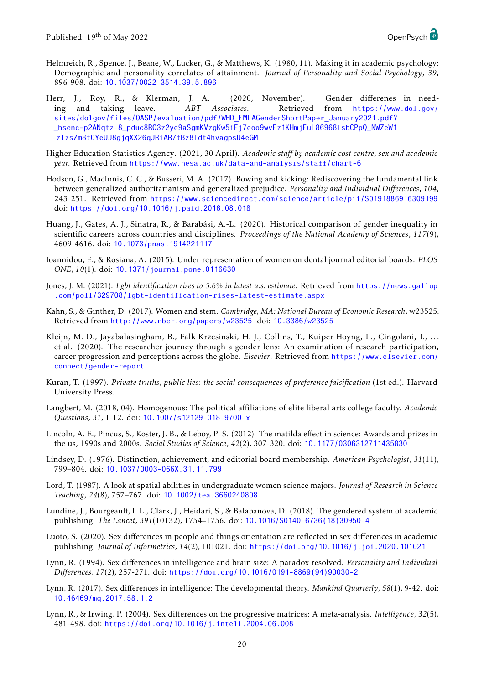- <span id="page-19-3"></span>Helmreich, R., Spence, J., Beane, W., Lucker, G., & Matthews, K. (1980, 11). Making it in academic psychology: Demographic and personality correlates of attainment. *Journal of Personality and Social Psychology*, *39*, 896-908. doi: [10.1037/0022-3514.39.5.896](https://dx.doi.org/10.1037/0022-3514.39.5.896)
- <span id="page-19-2"></span>Herr, J., Roy, R., & Klerman, J. A. (2020, November). Gender differenes in needing and taking leave. *ABT Associates*. Retrieved from [https://www.dol.gov/](https://www.dol.gov/sites/dolgov/files/OASP/evaluation/pdf/WHD_FMLAGenderShortPaper_January2021.pdf?_hsenc=p2ANqtz-8_pduc8RO3z2ye9aSgmKVzgKw5iEj7eoo9wvEz1KHmjEuL86968lsbCPpQ_NWZeW1-zlzsZm8t0YeUJ8gjqXX26qJRiAR7tBz8ldt4hvagpsU4eGM) [sites/dolgov/files/OASP/evaluation/pdf/WHD\\_FMLAGenderShortPaper\\_January2021.pdf?](https://www.dol.gov/sites/dolgov/files/OASP/evaluation/pdf/WHD_FMLAGenderShortPaper_January2021.pdf?_hsenc=p2ANqtz-8_pduc8RO3z2ye9aSgmKVzgKw5iEj7eoo9wvEz1KHmjEuL86968lsbCPpQ_NWZeW1-zlzsZm8t0YeUJ8gjqXX26qJRiAR7tBz8ldt4hvagpsU4eGM) [\\_hsenc=p2ANqtz-8\\_pduc8RO3z2ye9aSgmKVzgKw5iEj7eoo9wvEz1KHmjEuL86968lsbCPpQ\\_NWZeW1](https://www.dol.gov/sites/dolgov/files/OASP/evaluation/pdf/WHD_FMLAGenderShortPaper_January2021.pdf?_hsenc=p2ANqtz-8_pduc8RO3z2ye9aSgmKVzgKw5iEj7eoo9wvEz1KHmjEuL86968lsbCPpQ_NWZeW1-zlzsZm8t0YeUJ8gjqXX26qJRiAR7tBz8ldt4hvagpsU4eGM) [-zlzsZm8t0YeUJ8gjqXX26qJRiAR7tBz8ldt4hvagpsU4eGM](https://www.dol.gov/sites/dolgov/files/OASP/evaluation/pdf/WHD_FMLAGenderShortPaper_January2021.pdf?_hsenc=p2ANqtz-8_pduc8RO3z2ye9aSgmKVzgKw5iEj7eoo9wvEz1KHmjEuL86968lsbCPpQ_NWZeW1-zlzsZm8t0YeUJ8gjqXX26qJRiAR7tBz8ldt4hvagpsU4eGM)
- <span id="page-19-16"></span>Higher Education Statistics Agency. (2021, 30 April). *Academic staff by academic cost centre, sex and academic year.* Retrieved from <https://www.hesa.ac.uk/data-and-analysis/staff/chart-6>
- <span id="page-19-13"></span>Hodson, G., MacInnis, C. C., & Busseri, M. A. (2017). Bowing and kicking: Rediscovering the fundamental link between generalized authoritarianism and generalized prejudice. *Personality and Individual Differences*, *104*, 243-251. Retrieved from <https://www.sciencedirect.com/science/article/pii/S0191886916309199> doi: [https://doi.org/10.1016/j.paid.2016.08.018](https://dx.doi.org/https://doi.org/10.1016/j.paid.2016.08.018)
- <span id="page-19-0"></span>Huang, J., Gates, A. J., Sinatra, R., & Barabási, A.-L. (2020). Historical comparison of gender inequality in scientific careers across countries and disciplines. *Proceedings of the National Academy of Sciences*, *117*(9), 4609-4616. doi: [10.1073/pnas.1914221117](https://dx.doi.org/10.1073/pnas.1914221117)
- <span id="page-19-7"></span>Ioannidou, E., & Rosiana, A. (2015). Under-representation of women on dental journal editorial boards. *PLOS ONE*, *10*(1). doi: [10.1371/journal.pone.0116630](https://dx.doi.org/10.1371/journal.pone.0116630)
- <span id="page-19-17"></span>Jones, J. M. (2021). *Lgbt identification rises to 5.6% in latest u.s. estimate.* Retrieved from [https://news.gallup](https://news.gallup.com/poll/329708/lgbt-identification-rises-latest-estimate.aspx) [.com/poll/329708/lgbt-identification-rises-latest-estimate.aspx](https://news.gallup.com/poll/329708/lgbt-identification-rises-latest-estimate.aspx)
- <span id="page-19-11"></span>Kahn, S., & Ginther, D. (2017). Women and stem. *Cambridge, MA: National Bureau of Economic Research*, w23525. Retrieved from <http://www.nber.org/papers/w23525> doi: [10.3386/w23525](https://dx.doi.org/10.3386/w23525)
- <span id="page-19-15"></span>Kleijn, M. D., Jayabalasingham, B., Falk-Krzesinski, H. J., Collins, T., Kuiper-Hoyng, L., Cingolani, I., . . . et al. (2020). The researcher journey through a gender lens: An examination of research participation, career progression and perceptions across the globe. *Elsevier*. Retrieved from [https://www.elsevier.com/](https://www.elsevier.com/connect/gender-report) [connect/gender-report](https://www.elsevier.com/connect/gender-report)
- <span id="page-19-18"></span>Kuran, T. (1997). *Private truths, public lies: the social consequences of preference falsification* (1st ed.). Harvard University Press.
- <span id="page-19-14"></span>Langbert, M. (2018, 04). Homogenous: The political affiliations of elite liberal arts college faculty. *Academic Questions*, *31*, 1-12. doi: [10.1007/s12129-018-9700-x](https://dx.doi.org/10.1007/s12129-018-9700-x)
- <span id="page-19-1"></span>Lincoln, A. E., Pincus, S., Koster, J. B., & Leboy, P. S. (2012). The matilda effect in science: Awards and prizes in the us, 1990s and 2000s. *Social Studies of Science*, *42*(2), 307-320. doi: [10.1177/0306312711435830](https://dx.doi.org/10.1177/0306312711435830)
- <span id="page-19-10"></span>Lindsey, D. (1976). Distinction, achievement, and editorial board membership. *American Psychologist*, *31*(11), 799–804. doi: [10.1037/0003-066X.31.11.799](https://dx.doi.org/10.1037/0003-066X.31.11.799)
- <span id="page-19-12"></span>Lord, T. (1987). A look at spatial abilities in undergraduate women science majors. *Journal of Research in Science Teaching*, *24*(8), 757–767. doi: [10.1002/tea.3660240808](https://dx.doi.org/10.1002/tea.3660240808)
- <span id="page-19-9"></span>Lundine, J., Bourgeault, I. L., Clark, J., Heidari, S., & Balabanova, D. (2018). The gendered system of academic publishing. *The Lancet*, *391*(10132), 1754–1756. doi: [10.1016/S0140-6736\(18\)30950-4](https://dx.doi.org/10.1016/S0140-6736(18)30950-4)
- <span id="page-19-8"></span>Luoto, S. (2020). Sex differences in people and things orientation are reflected in sex differences in academic publishing. *Journal of Informetrics*, *14*(2), 101021. doi: [https://doi.org/10.1016/j.joi.2020.101021](https://dx.doi.org/https://doi.org/10.1016/j.joi.2020.101021)
- <span id="page-19-4"></span>Lynn, R. (1994). Sex differences in intelligence and brain size: A paradox resolved. *Personality and Individual Differences*, *17*(2), 257-271. doi: [https://doi.org/10.1016/0191-8869\(94\)90030-2](https://dx.doi.org/https://doi.org/10.1016/0191-8869(94)90030-2)
- <span id="page-19-5"></span>Lynn, R. (2017). Sex differences in intelligence: The developmental theory. *Mankind Quarterly*, *58*(1), 9-42. doi: [10.46469/mq.2017.58.1.2](https://dx.doi.org/10.46469/mq.2017.58.1.2)
- <span id="page-19-6"></span>Lynn, R., & Irwing, P. (2004). Sex differences on the progressive matrices: A meta-analysis. *Intelligence*, *32*(5), 481-498. doi: [https://doi.org/10.1016/j.intell.2004.06.008](https://dx.doi.org/https://doi.org/10.1016/j.intell.2004.06.008)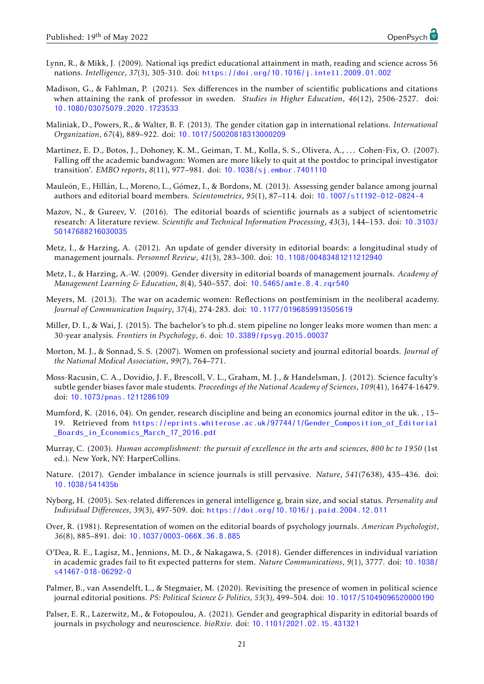- <span id="page-20-3"></span>Lynn, R., & Mikk, J. (2009). National iqs predict educational attainment in math, reading and science across 56 nations. *Intelligence*, *37*(3), 305-310. doi: [https://doi.org/10.1016/j.intell.2009.01.002](https://dx.doi.org/https://doi.org/10.1016/j.intell.2009.01.002)
- <span id="page-20-12"></span>Madison, G., & Fahlman, P. (2021). Sex differences in the number of scientific publications and citations when attaining the rank of professor in sweden. *Studies in Higher Education*, *46*(12), 2506-2527. doi: [10.1080/03075079.2020.1723533](https://dx.doi.org/10.1080/03075079.2020.1723533)
- <span id="page-20-0"></span>Maliniak, D., Powers, R., & Walter, B. F. (2013). The gender citation gap in international relations. *International Organization*, *67*(4), 889–922. doi: [10.1017/S0020818313000209](https://dx.doi.org/10.1017/S0020818313000209)
- <span id="page-20-18"></span>Martinez, E. D., Botos, J., Dohoney, K. M., Geiman, T. M., Kolla, S. S., Olivera, A., . . . Cohen-Fix, O. (2007). Falling off the academic bandwagon: Women are more likely to quit at the postdoc to principal investigator transition'. *EMBO reports*, *8*(11), 977–981. doi: [10.1038/sj.embor.7401110](https://dx.doi.org/10.1038/sj.embor.7401110)
- <span id="page-20-6"></span>Mauleón, E., Hillán, L., Moreno, L., Gómez, I., & Bordons, M. (2013). Assessing gender balance among journal authors and editorial board members. *Scientometrics*, *95*(1), 87–114. doi: [10.1007/s11192-012-0824-4](https://dx.doi.org/10.1007/s11192-012-0824-4)
- <span id="page-20-10"></span>Mazov, N., & Gureev, V. (2016). The editorial boards of scientific journals as a subject of scientometric research: A literature review. *Scientific and Technical Information Processing*, *43*(3), 144–153. doi: [10.3103/](https://dx.doi.org/10.3103/S0147688216030035) [S0147688216030035](https://dx.doi.org/10.3103/S0147688216030035)
- <span id="page-20-8"></span>Metz, I., & Harzing, A. (2012). An update of gender diversity in editorial boards: a longitudinal study of management journals. *Personnel Review*, *41*(3), 283–300. doi: [10.1108/00483481211212940](https://dx.doi.org/10.1108/00483481211212940)
- <span id="page-20-7"></span>Metz, I., & Harzing, A.-W. (2009). Gender diversity in editorial boards of management journals. *Academy of Management Learning & Education*, *8*(4), 540–557. doi: [10.5465/amle.8.4.zqr540](https://dx.doi.org/10.5465/amle.8.4.zqr540)
- <span id="page-20-2"></span>Meyers, M. (2013). The war on academic women: Reflections on postfeminism in the neoliberal academy. *Journal of Communication Inquiry*, *37*(4), 274-283. doi: [10.1177/0196859913505619](https://dx.doi.org/10.1177/0196859913505619)
- <span id="page-20-19"></span>Miller, D. I., & Wai, J. (2015). The bachelor's to ph.d. stem pipeline no longer leaks more women than men: a 30-year analysis. *Frontiers in Psychology*, *6*. doi: [10.3389/fpsyg.2015.00037](https://dx.doi.org/10.3389/fpsyg.2015.00037)
- <span id="page-20-9"></span>Morton, M. J., & Sonnad, S. S. (2007). Women on professional society and journal editorial boards. *Journal of the National Medical Association*, *99*(7), 764–771.
- <span id="page-20-13"></span>Moss-Racusin, C. A., Dovidio, J. F., Brescoll, V. L., Graham, M. J., & Handelsman, J. (2012). Science faculty's subtle gender biases favor male students. *Proceedings of the National Academy of Sciences*, *109*(41), 16474-16479. doi: [10.1073/pnas.1211286109](https://dx.doi.org/10.1073/pnas.1211286109)
- <span id="page-20-17"></span>Mumford, K. (2016, 04). On gender, research discipline and being an economics journal editor in the uk. , 15– 19. Retrieved from [https://eprints.whiterose.ac.uk/97744/1/Gender\\_Composition\\_of\\_Editorial](https://eprints.whiterose.ac.uk/97744/1/Gender_Composition_of_Editorial_Boards_in_Economics_March_17_2016.pdf) Boards in Economics March 17 2016.pdf
- <span id="page-20-1"></span>Murray, C. (2003). *Human accomplishment: the pursuit of excellence in the arts and sciences, 800 bc to 1950* (1st ed.). New York, NY: HarperCollins.
- <span id="page-20-11"></span>Nature. (2017). Gender imbalance in science journals is still pervasive. *Nature*, *541*(7638), 435–436. doi: [10.1038/541435b](https://dx.doi.org/10.1038/541435b)
- <span id="page-20-4"></span>Nyborg, H. (2005). Sex-related differences in general intelligence g, brain size, and social status. *Personality and Individual Differences*, *39*(3), 497-509. doi: [https://doi.org/10.1016/j.paid.2004.12.011](https://dx.doi.org/https://doi.org/10.1016/j.paid.2004.12.011)
- <span id="page-20-14"></span>Over, R. (1981). Representation of women on the editorial boards of psychology journals. *American Psychologist*, *36*(8), 885–891. doi: [10.1037/0003-066X.36.8.885](https://dx.doi.org/10.1037/0003-066X.36.8.885)
- <span id="page-20-5"></span>O'Dea, R. E., Lagisz, M., Jennions, M. D., & Nakagawa, S. (2018). Gender differences in individual variation in academic grades fail to fit expected patterns for stem. *Nature Communications*, *9*(1), 3777. doi: [10.1038/](https://dx.doi.org/10.1038/s41467-018-06292-0) [s41467-018-06292-0](https://dx.doi.org/10.1038/s41467-018-06292-0)
- <span id="page-20-16"></span>Palmer, B., van Assendelft, L., & Stegmaier, M. (2020). Revisiting the presence of women in political science journal editorial positions. *PS: Political Science & Politics*, *53*(3), 499–504. doi: [10.1017/S1049096520000190](https://dx.doi.org/10.1017/S1049096520000190)
- <span id="page-20-15"></span>Palser, E. R., Lazerwitz, M., & Fotopoulou, A. (2021). Gender and geographical disparity in editorial boards of journals in psychology and neuroscience. *bioRxiv*. doi: [10.1101/2021.02.15.431321](https://dx.doi.org/10.1101/2021.02.15.431321)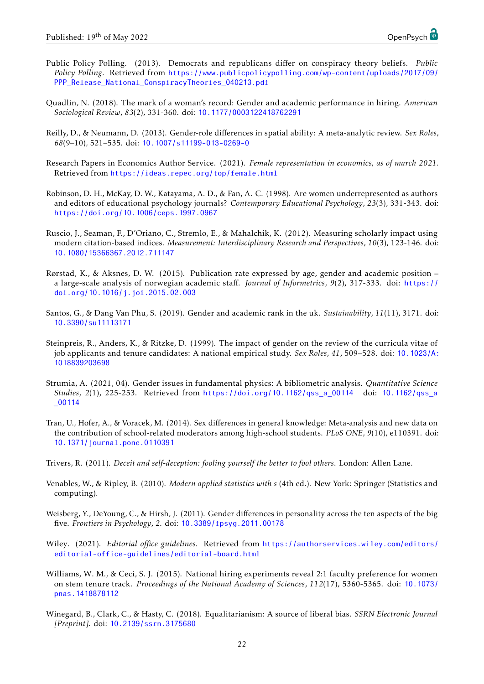- <span id="page-21-14"></span>Public Policy Polling. (2013). Democrats and republicans differ on conspiracy theory beliefs. *Public Policy Polling*. Retrieved from [https://www.publicpolicypolling.com/wp-content/uploads/2017/09/](https://www.publicpolicypolling.com/wp-content/uploads/2017/09/PPP_Release_National_ConspiracyTheories_040213.pdf) [PPP\\_Release\\_National\\_ConspiracyTheories\\_040213.pdf](https://www.publicpolicypolling.com/wp-content/uploads/2017/09/PPP_Release_National_ConspiracyTheories_040213.pdf)
- <span id="page-21-6"></span>Quadlin, N. (2018). The mark of a woman's record: Gender and academic performance in hiring. *American Sociological Review*, *83*(2), 331-360. doi: [10.1177/0003122418762291](https://dx.doi.org/10.1177/0003122418762291)
- <span id="page-21-8"></span>Reilly, D., & Neumann, D. (2013). Gender-role differences in spatial ability: A meta-analytic review. *Sex Roles*, *68*(9–10), 521–535. doi: [10.1007/s11199-013-0269-0](https://dx.doi.org/10.1007/s11199-013-0269-0)
- <span id="page-21-13"></span>Research Papers in Economics Author Service. (2021). *Female representation in economics, as of march 2021.* Retrieved from <https://ideas.repec.org/top/female.html>
- <span id="page-21-10"></span>Robinson, D. H., McKay, D. W., Katayama, A. D., & Fan, A.-C. (1998). Are women underrepresented as authors and editors of educational psychology journals? *Contemporary Educational Psychology*, *23*(3), 331-343. doi: [https://doi.org/10.1006/ceps.1997.0967](https://dx.doi.org/https://doi.org/10.1006/ceps.1997.0967)
- <span id="page-21-12"></span>Ruscio, J., Seaman, F., D'Oriano, C., Stremlo, E., & Mahalchik, K. (2012). Measuring scholarly impact using modern citation-based indices. *Measurement: Interdisciplinary Research and Perspectives*, *10*(3), 123-146. doi: [10.1080/15366367.2012.711147](https://dx.doi.org/10.1080/15366367.2012.711147)
- <span id="page-21-11"></span>Rørstad, K., & Aksnes, D. W. (2015). Publication rate expressed by age, gender and academic position – a large-scale analysis of norwegian academic staff. *Journal of Informetrics*, *9*(2), 317-333. doi: [https://](https://dx.doi.org/https://doi.org/10.1016/j.joi.2015.02.003) [doi.org/10.1016/j.joi.2015.02.003](https://dx.doi.org/https://doi.org/10.1016/j.joi.2015.02.003)
- <span id="page-21-0"></span>Santos, G., & Dang Van Phu, S. (2019). Gender and academic rank in the uk. *Sustainability*, *11*(11), 3171. doi: [10.3390/su11113171](https://dx.doi.org/10.3390/su11113171)
- <span id="page-21-7"></span>Steinpreis, R., Anders, K., & Ritzke, D. (1999). The impact of gender on the review of the curricula vitae of job applicants and tenure candidates: A national empirical study. *Sex Roles*, *41*, 509–528. doi: [10.1023/A:](https://dx.doi.org/10.1023/A:1018839203698) [1018839203698](https://dx.doi.org/10.1023/A:1018839203698)
- <span id="page-21-1"></span>Strumia, A. (2021, 04). Gender issues in fundamental physics: A bibliometric analysis. *Quantitative Science Studies*, *2*(1), 225-253. Retrieved from [https://doi.org/10.1162/qss\\_a\\_00114](https://doi.org/10.1162/qss_a_00114) doi: [10.1162/qss\\_a](https://dx.doi.org/10.1162/qss_a_00114) [\\_00114](https://dx.doi.org/10.1162/qss_a_00114)
- <span id="page-21-3"></span>Tran, U., Hofer, A., & Voracek, M. (2014). Sex differences in general knowledge: Meta-analysis and new data on the contribution of school-related moderators among high-school students. *PLoS ONE*, *9*(10), e110391. doi: [10.1371/journal.pone.0110391](https://dx.doi.org/10.1371/journal.pone.0110391)
- <span id="page-21-15"></span>Trivers, R. (2011). *Deceit and self-deception: fooling yourself the better to fool others*. London: Allen Lane.
- <span id="page-21-16"></span>Venables, W., & Ripley, B. (2010). *Modern applied statistics with s* (4th ed.). New York: Springer (Statistics and computing).
- <span id="page-21-2"></span>Weisberg, Y., DeYoung, C., & Hirsh, J. (2011). Gender differences in personality across the ten aspects of the big five. *Frontiers in Psychology*, *2*. doi: [10.3389/fpsyg.2011.00178](https://dx.doi.org/10.3389/fpsyg.2011.00178)
- <span id="page-21-4"></span>Wiley. (2021). *Editorial office guidelines.* Retrieved from [https://authorservices.wiley.com/editors/](https://authorservices.wiley.com/editors/editorial-office-guidelines/editorial-board.html) [editorial-office-guidelines/editorial-board.html](https://authorservices.wiley.com/editors/editorial-office-guidelines/editorial-board.html)
- <span id="page-21-5"></span>Williams, W. M., & Ceci, S. J. (2015). National hiring experiments reveal 2:1 faculty preference for women on stem tenure track. *Proceedings of the National Academy of Sciences*, *112*(17), 5360-5365. doi: [10.1073/](https://dx.doi.org/10.1073/pnas.1418878112) [pnas.1418878112](https://dx.doi.org/10.1073/pnas.1418878112)
- <span id="page-21-9"></span>Winegard, B., Clark, C., & Hasty, C. (2018). Equalitarianism: A source of liberal bias. *SSRN Electronic Journal [Preprint]*. doi: [10.2139/ssrn.3175680](https://dx.doi.org/10.2139/ssrn.3175680)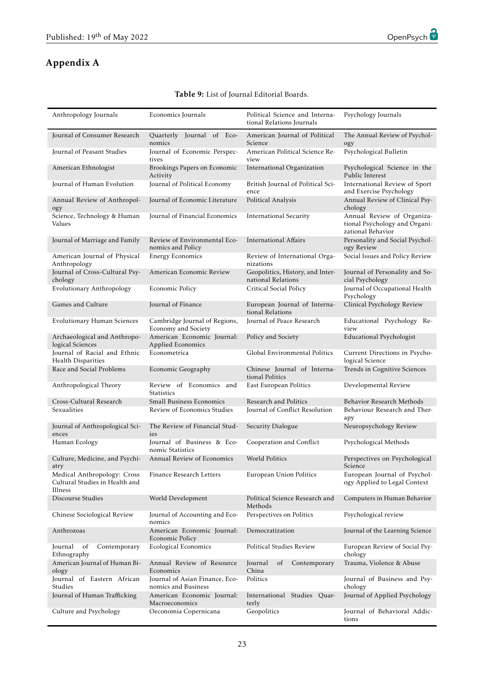## Appendix A

<span id="page-22-0"></span>

| Anthropology Journals                                                    | Economics Journals                                     | Political Science and Interna-<br>tional Relations Journals | Psychology Journals                                                              |
|--------------------------------------------------------------------------|--------------------------------------------------------|-------------------------------------------------------------|----------------------------------------------------------------------------------|
| Journal of Consumer Research                                             | Quarterly Journal of Eco-<br>nomics                    | American Journal of Political<br>Science                    | The Annual Review of Psychol-<br>ogy                                             |
| Journal of Peasant Studies                                               | Journal of Economic Perspec-<br>tives                  | American Political Science Re-<br>view                      | Psychological Bulletin                                                           |
| American Ethnologist                                                     | Brookings Papers on Economic<br>Activity               | International Organization                                  | Psychological Science in the<br>Public Interest                                  |
| Journal of Human Evolution                                               | Journal of Political Economy                           | British Journal of Political Sci-<br>ence                   | International Review of Sport<br>and Exercise Psychology                         |
| Annual Review of Anthropol-<br>ogy                                       | Journal of Economic Literature                         | Political Analysis                                          | Annual Review of Clinical Psy-<br>chology                                        |
| Science, Technology & Human<br>Values                                    | Journal of Financial Economics                         | <b>International Security</b>                               | Annual Review of Organiza-<br>tional Psychology and Organi-<br>zational Behavior |
| Journal of Marriage and Family                                           | Review of Environmental Eco-<br>nomics and Policy      | International Affairs                                       | Personality and Social Psychol-<br>ogy Review                                    |
| American Journal of Physical<br>Anthropology                             | <b>Energy Economics</b>                                | Review of International Orga-<br>nizations                  | Social Issues and Policy Review                                                  |
| Journal of Cross-Cultural Psy-<br>chology                                | American Economic Review                               | Geopolitics, History, and Inter-<br>national Relations      | Journal of Personality and So-<br>cial Psychology                                |
| Evolutionary Anthropology                                                | Economic Policy                                        | Critical Social Policy                                      | Journal of Occupational Health<br>Psychology                                     |
| Games and Culture                                                        | Journal of Finance                                     | European Journal of Interna-<br>tional Relations            | Clinical Psychology Review                                                       |
| <b>Evolutionary Human Sciences</b>                                       | Cambridge Journal of Regions,<br>Economy and Society   | Journal of Peace Research                                   | Educational Psychology Re-<br>view                                               |
| Archaeological and Anthropo-<br>logical Sciences                         | American Economic Journal:<br><b>Applied Economics</b> | Policy and Society                                          | Educational Psychologist                                                         |
| Journal of Racial and Ethnic<br>Health Disparities                       | Econometrica                                           | Global Environmental Politics                               | Current Directions in Psycho-<br>logical Science                                 |
| Race and Social Problems                                                 | Economic Geography                                     | Chinese Journal of Interna-<br>tional Politics              | Trends in Cognitive Sciences                                                     |
| Anthropological Theory                                                   | Review of Economics and<br><b>Statistics</b>           | East European Politics                                      | Developmental Review                                                             |
| Cross-Cultural Research                                                  | Small Business Economics                               | Research and Politics                                       | Behavior Research Methods                                                        |
| Sexualities                                                              | Review of Economics Studies                            | Journal of Conflict Resolution                              | Behaviour Research and Ther-<br>apy                                              |
| Journal of Anthropological Sci-<br>ences                                 | The Review of Financial Stud-<br>ies                   | Security Dialogue                                           | Neuropsychology Review                                                           |
| Human Ecology                                                            | Journal of Business & Eco-<br>nomic Statistics         | Cooperation and Conflict                                    | Psychological Methods                                                            |
| Culture, Medicine, and Psychi-<br>atry                                   | Annual Review of Economics                             | World Politics                                              | Perspectives on Psychological<br>Science                                         |
| Medical Anthropology: Cross<br>Cultural Studies in Health and<br>Illness | Finance Research Letters                               | European Union Politics                                     | European Journal of Psychol-<br>ogy Applied to Legal Context                     |
| Discourse Studies                                                        | World Development                                      | Political Science Research and<br>Methods                   | Computers in Human Behavior                                                      |
| Chinese Sociological Review                                              | Journal of Accounting and Eco-<br>nomics               | Perspectives on Politics                                    | Psychological review                                                             |
| Anthrozoas                                                               | American Economic Journal:<br>Economic Policy          | Democratization                                             | Journal of the Learning Science                                                  |
| of<br>Contemporary<br>Journal<br>Ethnography                             | <b>Ecological Economics</b>                            | Political Studies Review                                    | European Review of Social Psy-<br>chology                                        |
| American Journal of Human Bi-<br>ology                                   | Annual Review of Resource<br>Economics                 | Journal<br>of<br>Contemporary<br>China                      | Trauma, Violence & Abuse                                                         |
| Journal of Eastern African<br>Studies                                    | Journal of Asian Finance, Eco-<br>nomics and Business  | Politics                                                    | Journal of Business and Psy-<br>chology                                          |
| Journal of Human Trafficking                                             | American Economic Journal:<br>Macroeconomics           | International Studies<br>Quar-<br>terly                     | Journal of Applied Psychology                                                    |
| Culture and Psychology                                                   | Oeconomia Copernicana                                  | Geopolitics                                                 | Journal of Behavioral Addic-<br>tions                                            |

#### Table 9: List of Journal Editorial Boards.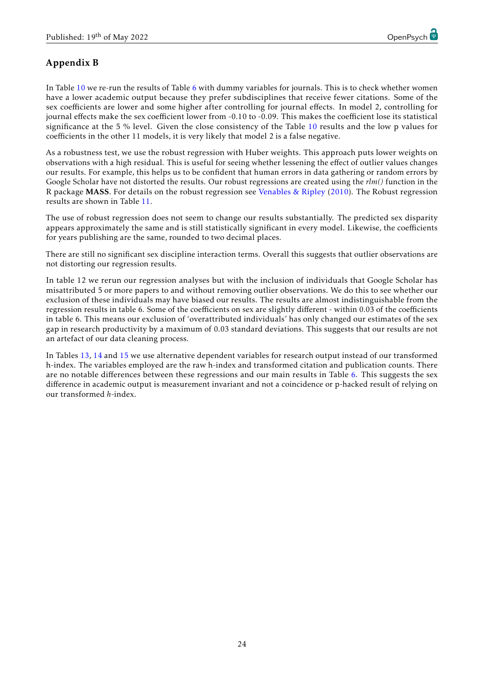## <span id="page-23-0"></span>Appendix B

In Table [10](#page-24-0) we re-run the results of Table [6](#page-10-0) with dummy variables for journals. This is to check whether women have a lower academic output because they prefer subdisciplines that receive fewer citations. Some of the sex coefficients are lower and some higher after controlling for journal effects. In model 2, controlling for journal effects make the sex coefficient lower from -0.10 to -0.09. This makes the coefficient lose its statistical significance at the 5 % level. Given the close consistency of the Table [10](#page-24-0) results and the low p values for coefficients in the other 11 models, it is very likely that model 2 is a false negative.

As a robustness test, we use the robust regression with Huber weights. This approach puts lower weights on observations with a high residual. This is useful for seeing whether lessening the effect of outlier values changes our results. For example, this helps us to be confident that human errors in data gathering or random errors by Google Scholar have not distorted the results. Our robust regressions are created using the *rlm()* function in the R package MASS. For details on the robust regression see [Venables & Ripley](#page-21-16) [\(2010\)](#page-21-16). The Robust regression results are shown in Table [11.](#page-25-0)

The use of robust regression does not seem to change our results substantially. The predicted sex disparity appears approximately the same and is still statistically significant in every model. Likewise, the coefficients for years publishing are the same, rounded to two decimal places.

There are still no significant sex discipline interaction terms. Overall this suggests that outlier observations are not distorting our regression results.

In table 12 we rerun our regression analyses but with the inclusion of individuals that Google Scholar has misattributed 5 or more papers to and without removing outlier observations. We do this to see whether our exclusion of these individuals may have biased our results. The results are almost indistinguishable from the regression results in table 6. Some of the coefficients on sex are slightly different - within 0.03 of the coefficients in table 6. This means our exclusion of 'overattributed individuals' has only changed our estimates of the sex gap in research productivity by a maximum of 0.03 standard deviations. This suggests that our results are not an artefact of our data cleaning process.

In Tables [13,](#page-27-0) [14](#page-28-0) and [15](#page-29-0) we use alternative dependent variables for research output instead of our transformed h-index. The variables employed are the raw h-index and transformed citation and publication counts. There are no notable differences between these regressions and our main results in Table [6.](#page-10-0) This suggests the sex difference in academic output is measurement invariant and not a coincidence or p-hacked result of relying on our transformed *h*-index.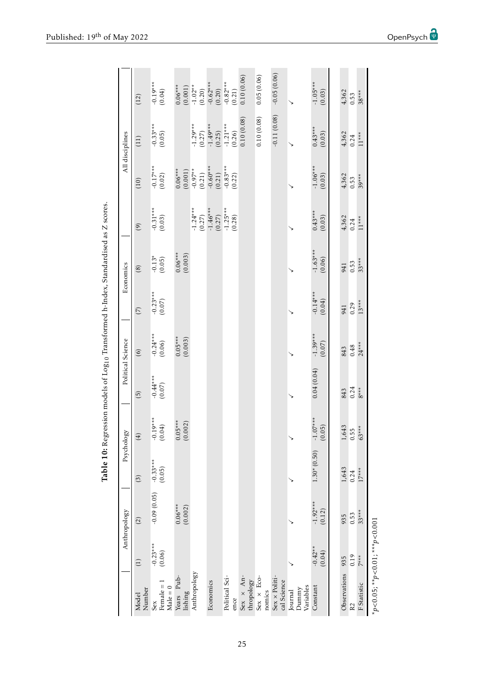<span id="page-24-0"></span>

|                                                                                               |                         | Anthropology         | Psychology           |                                     | Political Science     |                      |                            | Economics            |                                                |                                                                                                                             | All disciplines                              |                                                                        |
|-----------------------------------------------------------------------------------------------|-------------------------|----------------------|----------------------|-------------------------------------|-----------------------|----------------------|----------------------------|----------------------|------------------------------------------------|-----------------------------------------------------------------------------------------------------------------------------|----------------------------------------------|------------------------------------------------------------------------|
| Number<br>Model                                                                               | $\left( \exists\right)$ | (2)                  | $\binom{3}{2}$       | $(\frac{4}{5})$                     | $\widetilde{5}$       | $\widehat{6}$        | $\widehat{\triangleright}$ | $\circled{s}$        | $\left( \begin{matrix} 9 \end{matrix} \right)$ | (10)                                                                                                                        | (11)                                         | (12)                                                                   |
| Female $\,=1$<br>Sex                                                                          | $-0.23***$<br>(0.06)    | $-0.09(0.05)$        | $-0.33***$<br>(0.05) | $19***$<br>$\overline{4}$<br>$-0.0$ | $^{+6.44***}_{-0.07}$ | $-0.24***$<br>(0.06) | $^{+0.23***}_{(0.07)}$     | $-0.13*$<br>(0.05)   | $\frac{-0.31***}{(0.03)}$                      | $\frac{-0.17***}{(0.02)}$                                                                                                   | $-0.33***$<br>(0.05)                         | $^{+**}$<br>(0.04)                                                     |
| $\begin{array}{ll} \text{Male} = 0 \\ \text{Yes} & \text{Pub-} \\ \text{lishing} \end{array}$ |                         | $0.06***$<br>(0.002) |                      | $0.05***$<br>(0.002)                |                       | $0.05***$<br>(0.003) |                            | $0.06***$<br>(0.003) |                                                | $\begin{array}{c} 0.06*** \\ (0.001) \\ (0.001) \\ (0.21) \\ (0.21) \\ (0.37** \\ (0.31) \\ (0.21) \\ (0.33*** \end{array}$ |                                              | $\begin{array}{c} 0.06*** \\ (0.001) \\ -1.02** \\ (0.20) \end{array}$ |
| Anthropology                                                                                  |                         |                      |                      |                                     |                       |                      |                            |                      | $-1.24***$<br>(0.27)                           |                                                                                                                             | $-1.29***$<br>(0.27)                         |                                                                        |
| Economics                                                                                     |                         |                      |                      |                                     |                       |                      |                            |                      | $-1.46***$<br>(0.27)<br>$-1.25***$<br>(0.28)   |                                                                                                                             | $-1.49***$<br>(0.25)<br>$-1.21***$<br>(0.26) | $-0.62***$<br>$(0.20)$<br>$-0.82***$<br>$(0.21)$                       |
| Political Sci-<br>ence                                                                        |                         |                      |                      |                                     |                       |                      |                            |                      |                                                | (0.22)                                                                                                                      |                                              |                                                                        |
| Sex $\times$ An-<br>thropology                                                                |                         |                      |                      |                                     |                       |                      |                            |                      |                                                |                                                                                                                             | 0.10(0.08)                                   | 0.10(0.06)                                                             |
| Sex x Eco-<br>nomics                                                                          |                         |                      |                      |                                     |                       |                      |                            |                      |                                                |                                                                                                                             | 0.10(0.08)                                   | 0.05(0.06)                                                             |
| $Sex \times$ Politi-<br>cal Science                                                           |                         |                      |                      |                                     |                       |                      |                            |                      |                                                |                                                                                                                             | $-0.11(0.08)$                                | $-0.05(0.06)$                                                          |
| Variables<br>Dummy<br>Journal                                                                 |                         |                      |                      |                                     |                       |                      |                            |                      |                                                |                                                                                                                             |                                              |                                                                        |
| Constant                                                                                      | $-0.42**$<br>(0.04)     | $-1.92***$<br>(0.12) | $1.30*(0.50)$        | $07***$<br>(0.05)<br>$-1.0$         | 0.04(0.04)            | $-1.39***$<br>(0.07) | $-0.14***$<br>(0.04)       | $-1.63***$<br>(0.06) | $0.43***$<br>(0.03)                            | $-1.06***$<br>(0.03)                                                                                                        | $0.43***$<br>(0.03)                          | $-1.05***$<br>(0.03)                                                   |
| Observations                                                                                  | 935                     | 935                  | 1,643                |                                     | 843                   | 843                  | 941                        | 941                  | 4,362                                          | 4,362                                                                                                                       | 4,362                                        | 4,362                                                                  |
| R2                                                                                            | 0.19                    | 0.53                 | 0.24                 | 1,643<br>0.55                       | 0.24                  | 0.48                 | 0.29                       | 0.53                 | 0.24                                           | 0.53                                                                                                                        | 0.24                                         | 0.53                                                                   |
| F Statistic                                                                                   | $7***$                  | $33***$              | $17***$              | $63***$                             | $8***$                | $24***$              | $13***$                    | $33***$              | $11***$                                        | $39***$                                                                                                                     | $11***$                                      | $38***$                                                                |
|                                                                                               |                         |                      |                      |                                     |                       |                      |                            |                      |                                                |                                                                                                                             |                                              |                                                                        |

Table 10: Regression models of Log<sub>10</sub> Transformed h-Index, Standardised as Z scores. Table 10: Regression models of Log10 Transformed h-Index, Standardised as Z scores.

> $*_{p<0.05; *}_{p<0.01;}$ \**p*<0.05; \*\**p*<0.01; \*\*\**p*<0.001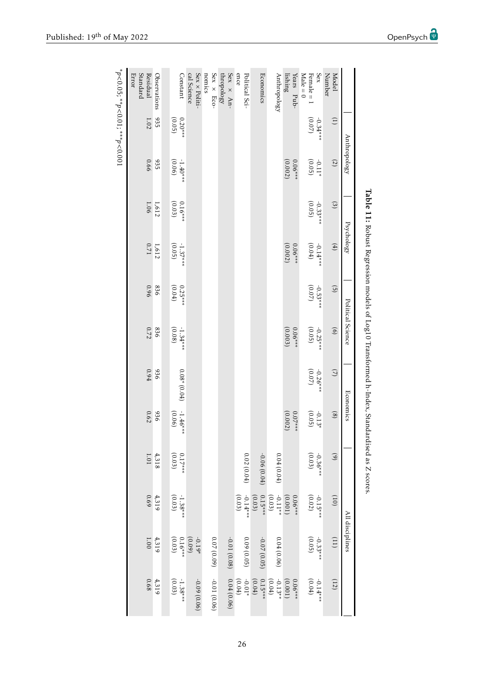<span id="page-25-0"></span>

|                                     |                        |                      |                                   |                      |                      |                                                |                      |                      | <b>lable 11:</b> Robust Regression models of $\log 10$ Transformed h-Index, Standardised as Z scores. |                      |                      |                      |
|-------------------------------------|------------------------|----------------------|-----------------------------------|----------------------|----------------------|------------------------------------------------|----------------------|----------------------|-------------------------------------------------------------------------------------------------------|----------------------|----------------------|----------------------|
|                                     |                        | Anthropology         |                                   | Psychology           |                      | Political Science                              |                      | Economics            |                                                                                                       |                      | All disciplines      |                      |
| Number<br><b>Model</b>              | $\left(1\right)$       | (2)                  | $\begin{pmatrix} 3 \end{pmatrix}$ | $\tag{4}$            | $\widehat{G}$        | $\left( \begin{matrix} 6 \end{matrix} \right)$ | $\bigcirc$           | $\circledast$        | $\odot$                                                                                               | (01)                 | (11)                 | (12)                 |
| Sex<br>$Male = 0$<br>Female = 1     | $(0.07)$<br>$-0.34***$ | (0.05)<br>$-0.11*$   | (0.05)<br>$-0.33***$              | $-0.14***$<br>(0.04) | (0.07)<br>$-0.53***$ | (0.05)<br>$-0.25***$                           | $-0.26***$<br>(0.07) | (0.05)<br>$-0.13*$   | (0.03)<br>$-0.36***$                                                                                  | (0.02)<br>$-0.15***$ | (0.05)<br>$-0.33***$ | (0.04)<br>$-0.14***$ |
| lishing<br>Years Pub-               |                        | $0.06**$<br>(0.002)  |                                   | $0.06***$<br>(0.002) |                      | $0.06**$<br>(0.003)                            |                      | $0.07***$<br>(0.002) |                                                                                                       | $0.06**$<br>(0.001)  |                      | $0.06***$<br>(0.001) |
| Anthropology                        |                        |                      |                                   |                      |                      |                                                |                      |                      | 0.04(0.04)                                                                                            | $-0.11**$<br>(0.03)  | 0.04(0.06)           | $-0.13**$<br>(0.04)  |
| Economics                           |                        |                      |                                   |                      |                      |                                                |                      |                      | $-0.06(0.04)$                                                                                         | $0.15***$<br>(0.03)  | $-0.07(0.05)$        | $0.15***$<br>(0.04)  |
| ence<br>Political Sci-              |                        |                      |                                   |                      |                      |                                                |                      |                      | 0.02(0.04)                                                                                            | $-0.14***$<br>(0.03) | 0.09(0.05)           | $-0.01*$<br>(0.04)   |
| Sex × An-<br>thropology             |                        |                      |                                   |                      |                      |                                                |                      |                      |                                                                                                       |                      | $-0.01(0.08)$        | 0.04(0.06)           |
| nomics<br>Sex × Eco-                |                        |                      |                                   |                      |                      |                                                |                      |                      |                                                                                                       |                      | 0.07(0.09)           | $-0.01(0.06)$        |
| cal Science<br>Sex × Politi-        |                        |                      |                                   |                      |                      |                                                |                      |                      |                                                                                                       |                      | (0.09)<br>$-0.19*$   | $-0.09(0.06)$        |
| Constant                            | $0.20***$<br>(0.05)    | (0.06)<br>$-1.40***$ | $0.16***$<br>(0.03)               | $-1.37***$<br>(0.05) | $0.25***$<br>(0.04)  | $-1.34***$<br>(0.08)                           | $0.08*(0.04)$        | $-1.46***$<br>(0.06) | $0.17***$<br>(0.03)                                                                                   | $-1.38***$<br>(0.03) | (0.03)<br>$0.16***$  | $-1.38***$<br>(0.03) |
| Observations                        | 935                    | 935                  | 1,612                             | 1,612                | 936                  | 836                                            | 936                  | 936                  | 4,318                                                                                                 | 4,319                | 4,319                | 4,319                |
| Standard<br>Residual<br>Error       | $1.02\,$               | 0.66                 | 1.06                              | 1/20                 | 960                  | 0.72                                           | 0.94                 | 0.62                 | $1.01\,$                                                                                              | 690                  | 1.00                 | 0.68                 |
| $*p < 0.05; *p < 0.01; **p < 0.001$ |                        |                      |                                   |                      |                      |                                                |                      |                      |                                                                                                       |                      |                      |                      |

Table 11: Robust Regression models of Log10 Transformed h-Index, Standardised as Z scores. Table 11: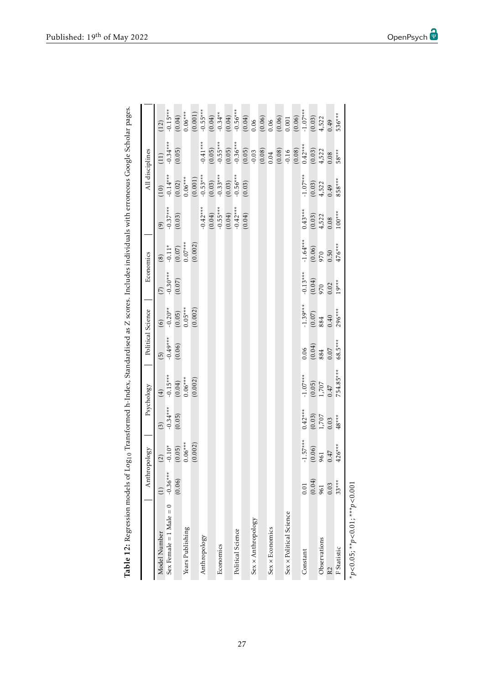<span id="page-26-0"></span>

|                                          | <b>Anthr</b>                 | Asopodo.        |                   | Psychology        |                          | Political Science                 |            | Economics         |                                                | All disciplines |            |            |
|------------------------------------------|------------------------------|-----------------|-------------------|-------------------|--------------------------|-----------------------------------|------------|-------------------|------------------------------------------------|-----------------|------------|------------|
| Model Number                             | $\left( \frac{1}{2} \right)$ | $(2)$           | (3)               | $\tag{4}$         | $\widetilde{\mathbf{5}}$ | $\begin{pmatrix} 6 \end{pmatrix}$ | (5)        | $\left( 8\right)$ | $\left( \begin{matrix} 9 \end{matrix} \right)$ | (10)            | (11)       | (12)       |
| Sex Female $= 1$ Male $= 0$              | $-0.36***$                   | $-0.10*$        | $-0.34***$        | $-0.15***$        | $-0.49***$               | $-0.20**$                         | $-0.30***$ | $-0.11*$          | $-0.37***$                                     | $-0.14***$      | $-0.34***$ | $-0.15***$ |
|                                          | (0.06)                       | (0.05)          | (0.05)            | (0.04)            | (0.06)                   | $(0.05)$<br>0.05***               | (0.07)     | (0.07)            | (0.03)                                         | (0.02)          | (0.05)     | (0.04)     |
| Years Publishing                         |                              | $0.06***$       |                   | $0.06***$         |                          |                                   |            | $0.07***$         |                                                | $0.06***$       |            | $0.06***$  |
|                                          |                              | (0.002)         |                   | (0.002)           |                          | (0.002)                           |            | (0.002)           |                                                | (0.001)         |            | (0.001)    |
| Anthropology                             |                              |                 |                   |                   |                          |                                   |            |                   | $-0.42***$                                     | $-0.53***$      | $-0.41***$ | $-0.55***$ |
|                                          |                              |                 |                   |                   |                          |                                   |            |                   | (0.04)                                         | (0.03)          | (0.05)     | (0.04)     |
| Economics                                |                              |                 |                   |                   |                          |                                   |            |                   | $-0.55***$                                     | $-0.33***$      | $-0.55***$ | $-0.34**$  |
|                                          |                              |                 |                   |                   |                          |                                   |            |                   | (0.04)                                         | (0.03)          | (0.05)     | (0.04)     |
| Political Science                        |                              |                 |                   |                   |                          |                                   |            |                   | $-0.42***$                                     | $-0.56***$      | $-0.36***$ | $-0.56***$ |
|                                          |                              |                 |                   |                   |                          |                                   |            |                   | (0.04)                                         | (0.03)          | (0.05)     | (0.04)     |
| Sex x Anthropology                       |                              |                 |                   |                   |                          |                                   |            |                   |                                                |                 | $-0.03$    | 0.06       |
|                                          |                              |                 |                   |                   |                          |                                   |            |                   |                                                |                 | (0.08)     | (0.06)     |
| Sex x Economics                          |                              |                 |                   |                   |                          |                                   |            |                   |                                                |                 | 0.04       | 0.06       |
|                                          |                              |                 |                   |                   |                          |                                   |            |                   |                                                |                 | (0.08)     | (0.06)     |
| Sex x Political Science                  |                              |                 |                   |                   |                          |                                   |            |                   |                                                |                 | $-0.16$    | 0.001      |
|                                          |                              |                 |                   |                   |                          |                                   |            |                   |                                                |                 | (0.08)     | (0.06)     |
| Constant                                 | 0.01                         | $-1.57***$      | $0.42***$         | $-1.07***$        | 0.06                     | $-1.39***$                        | $-0.13***$ | $-1.64***$        | $0.43***$                                      | $-1.07***$      | $0.42***$  | $-1.07***$ |
|                                          | (0.04)                       | $(0.06)$<br>961 | $(0.03)$<br>1,707 | $(0.05)$<br>1,707 | (0.04)                   | $\frac{(0.07)}{884}$              | (0.04)     | (0.06)            | $(0.03)$<br>4,522                              | (0.03)          | (0.03)     | (0.03)     |
| Observations                             | 961                          |                 |                   |                   | 884                      |                                   | 970        | 970               |                                                | 4,522           | 4,522      | 4,522      |
| R <sub>2</sub>                           | 0.03                         | 0.47            | 0.03              | 0.47              | 0.07                     | 0.40                              | 0.02       | 0.50              | 0.08                                           | 0.49            | 0.08       | 0.49       |
| F Statistic                              | $33***$                      | $426***$        | $48***$           | 754.85***         | $68.5***$                | $296***$                          | $19***$    | 476***            | $100***$                                       | 858***          | 58***      | 536***     |
| * $p$ <0.05; ** $p$ <0.01; *** $p$ <0.01 |                              |                 |                   |                   |                          |                                   |            |                   |                                                |                 |            |            |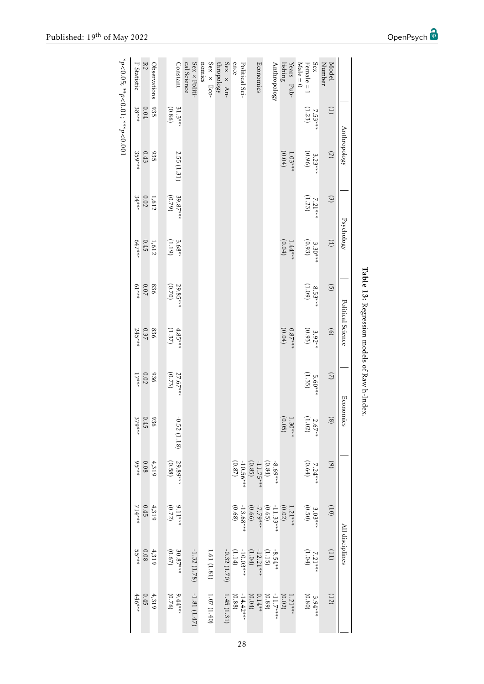|                                            |                                   |              |                             |                    |                     |                                   | <b>Iable 13:</b> Regression models of Raw h-Index. |               |                                    |                       |                       |                        |
|--------------------------------------------|-----------------------------------|--------------|-----------------------------|--------------------|---------------------|-----------------------------------|----------------------------------------------------|---------------|------------------------------------|-----------------------|-----------------------|------------------------|
|                                            |                                   | Anthropology |                             | Psychology         |                     | Political Science                 |                                                    | Economics     |                                    |                       | All disciplines       |                        |
| Number<br><b>Model</b>                     | $\begin{pmatrix} 1 \end{pmatrix}$ | (2)          | $\left( \frac{3}{2}\right)$ | $\tag{4}$          | $\widehat{G}$       | $\begin{pmatrix} 6 \end{pmatrix}$ | $\bigcirc$                                         | $\rm \rm (8)$ | $\odot$                            | (01)                  | (11)                  | (12)                   |
| Sex                                        | $-7.53***$                        | $-3.23***$   | $-7.21***$                  | $-3.30***$         | $-8.53***$          | $-3.92**$                         | $-5.60***$                                         | $-2.67**$     | $-7.24***$                         | $-3.03***$            | $-7.21***$            | $-3.94***$             |
| $Male = 0$<br>${\bf Female = 1}$           | (1.23)                            | (0.96)       | (1.23)                      | (0.93)             | (60)                | (0.93)                            | (1.35)                                             | (1.02)        | (0.64)                             | (0.50)                | (1.04)                | (0.80)                 |
| Years Pub-                                 |                                   | $1.03***$    |                             | $1.44***$          |                     | $0.87***$                         |                                                    | $1.30***$     |                                    | $1.21***$             |                       | $1.21***$              |
| lishing                                    |                                   | (0.04)       |                             | (0.04)             |                     | (0.04)                            |                                                    | (0.05)        |                                    | (0.02)                |                       | (0.02)                 |
| Anthropology                               |                                   |              |                             |                    |                     |                                   |                                                    |               | $\left( 0.84\right)$<br>$-8.69***$ | $-11.33***$           | (1.15)<br>$-8.54**$   | $-11.7***$<br>$(0.89)$ |
| Economics                                  |                                   |              |                             |                    |                     |                                   |                                                    |               | $-11.75***$<br>(0.85)              | $-7.79***$<br>(0.66)  | $-12.21***$<br>(1.04) | $0.14**$<br>(0.04)     |
| ence<br>Political Sci-                     |                                   |              |                             |                    |                     |                                   |                                                    |               | $-10.56***$<br>(0.87)              | $-13.68***$<br>(0.68) | $-10.03***$<br>(1.14) | $-14.42***$<br>(0.88)  |
| Sex $\times$ An-<br>thropology             |                                   |              |                             |                    |                     |                                   |                                                    |               |                                    |                       | $-0.32(1.70)$         | 1.45(1.31)             |
| Sex × Eco-<br>nomics                       |                                   |              |                             |                    |                     |                                   |                                                    |               |                                    |                       | 1.61(1.81)            | (04.1, 07)             |
| Sex × Politi-<br>cal Science               |                                   |              |                             |                    |                     |                                   |                                                    |               |                                    |                       | $-1.32(1.78)$         | $-1.81(1.47)$          |
| Constant                                   | $31.3***$<br>(0.86)               | 2.55 (1.31)  | 39.87***<br>(0.79)          | (1.19)<br>$3.68**$ | (0.70)<br>29.85 *** | $4.85***$<br>(1.37)               | (0.73)<br>27.67***                                 | $-0.52(1.18)$ | 29.89***<br>(0.58)                 | $9.11***$<br>(0.72)   | (0.67)<br>30.87***    | $9.44***$<br>(0.76)    |
| Observations                               | 935                               | 935          | 1,612                       | 1,612              | 836                 | 836                               | 936                                                | 936           | 4,319                              | 4,319                 | 4,319                 | 4,319                  |
| R2                                         | 0.04                              | 0.43         | 0.02                        | 0.45               | $0.07\,$            | 0.37                              | 0.02                                               | 0.45          | 80.0                               | 0.45                  | 0.08                  | 0.45                   |
| F Statistic                                | $38***$                           | 359***       | $34***$                     | 647***             | $61***$             | 245***                            | $17**$                                             | 379***        | $95***$                            | $714***$              | 55***                 | 446***                 |
| $*p < 0.05$ ; $* p < 0.01$ ; $* p < 0.001$ |                                   |              |                             |                    |                     |                                   |                                                    |               |                                    |                       |                       |                        |

Table 13: Regression models of Raw h-Index. Table 13:

<span id="page-27-0"></span>Published: 19<sup>th</sup> of May 2022 OpenPsych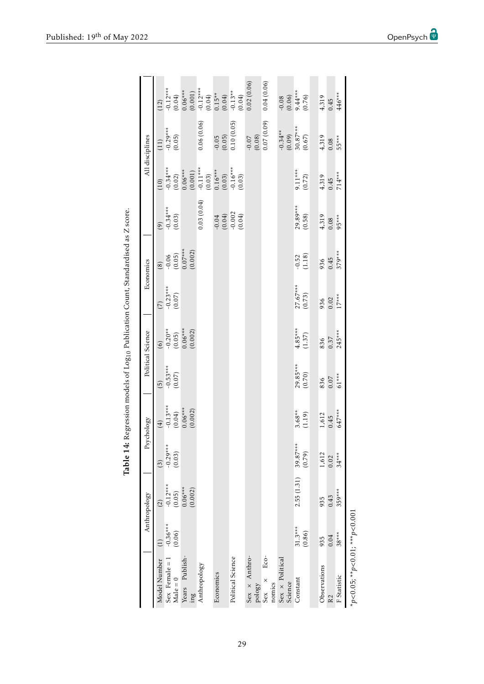<span id="page-28-0"></span>

| All disciplines   | (12)<br>(11)<br>(10) | $-0.29***$<br>(0.05) | $\frac{-0.34***}{(0.02)}$      |                |                                                                      | $\begin{array}{l} -0.12*** \\ (0.04) \\ (0.06*** \\ (0.06*** \\ (0.001) \\ (0.01) \\ (0.04) \\ (0.04) \\ (0.04) \\ (0.04) \\ (0.04) \\ (0.04) \\ (0.04) \\ (0.04) \\ (0.05*** \\ \end{array}$<br>0.06(0.06)<br>$0.06***$<br>(0.001)<br>-0.11***<br>(0.03) |           | $-0.05$<br>$(0.05)$<br>$\frac{0.16***}{(0.03)}$ | 0.10(0.05)        | $-0.16***$<br>(0.03)                        | 0.02(0.06)           | $-0.07$<br>(0.08) | 0.04(0.06)<br>$(60.0)$ $\angle 0.0$ |        |                        |         | $-0.34**$<br>(0.09) | $-0.08$<br>$(0.06)$<br>$9.44***$<br>$(0.76)$<br>$30.87***$<br>(0.67)<br>$9.11***$<br>(0.72) | 4,319<br>4,319<br>4,319 | 0.45<br>0.08<br>0.45 | 446***<br>55***<br>$714***$ |
|-------------------|----------------------|----------------------|--------------------------------|----------------|----------------------------------------------------------------------|-----------------------------------------------------------------------------------------------------------------------------------------------------------------------------------------------------------------------------------------------------------|-----------|-------------------------------------------------|-------------------|---------------------------------------------|----------------------|-------------------|-------------------------------------|--------|------------------------|---------|---------------------|---------------------------------------------------------------------------------------------|-------------------------|----------------------|-----------------------------|
|                   | $\circ$              | $-0.34***$<br>(0.03) |                                |                |                                                                      | 0.03(0.04)                                                                                                                                                                                                                                                |           |                                                 |                   | $-0.04$<br>$(0.04)$<br>$-0.002$<br>$(0.04)$ |                      |                   |                                     |        |                        |         |                     | $29.89***$<br>(0.58)                                                                        | 4,319                   | 0.08                 | 95***                       |
| Economics         | (8)                  |                      |                                |                | $\begin{array}{c} -0.06 \\ (0.05) \\ 0.07*** \\ (0.002) \end{array}$ |                                                                                                                                                                                                                                                           |           |                                                 |                   |                                             |                      |                   |                                     |        |                        |         |                     | $-0.52$<br>$(1.18)$                                                                         | 936                     | 0.45                 | $379***$                    |
|                   | $\overline{C}$       |                      | $-0.23***$<br>(0.07)           |                |                                                                      |                                                                                                                                                                                                                                                           |           |                                                 |                   |                                             |                      |                   |                                     |        |                        |         |                     | $27.67***$<br>(0.73)                                                                        | 936                     | 0.02                 | $17***$                     |
| Political Science | $\overline{6}$       |                      | $-0.20**$<br>(0.05)<br>0.06*** |                | 0.002)                                                               |                                                                                                                                                                                                                                                           |           |                                                 |                   |                                             |                      |                   |                                     |        |                        |         | $4.85***$           | (1.37)                                                                                      | 836                     | 0.37                 | $245***$                    |
|                   | $\widehat{5}$        |                      | $-0.53***$<br>(0.07)           |                |                                                                      |                                                                                                                                                                                                                                                           |           |                                                 |                   |                                             |                      |                   |                                     |        |                        |         |                     | 29.85***<br>(0.70)                                                                          | 836                     | $0.07$               | $61***$                     |
| chology           | $\left( 4\right)$    |                      | $^{+8.13***}_{(0.04)}$         | $0.06***$      | (0.002)                                                              |                                                                                                                                                                                                                                                           |           |                                                 |                   |                                             |                      |                   |                                     |        |                        |         |                     | $3.68**$<br>(1.19)                                                                          | 1,612                   | 0.45                 | 647***                      |
| Psy               | (3)                  | $-0.29***$           | (0.03)                         |                |                                                                      |                                                                                                                                                                                                                                                           |           |                                                 |                   |                                             |                      |                   |                                     |        |                        |         | 39.87***            | (0.79)                                                                                      | 1,612                   | 0.02                 | $34***$                     |
| Anthropology      | (2)                  | $-0.12***$<br>(0.05) |                                | $0.06***$      | (0.002)                                                              |                                                                                                                                                                                                                                                           |           |                                                 |                   |                                             |                      |                   |                                     |        |                        |         | 2.55(1.31)          |                                                                                             | 935                     | 0.43                 | $359***$                    |
|                   | $\overline{1}$       | $-0.36***$<br>(0.06) |                                |                |                                                                      |                                                                                                                                                                                                                                                           |           |                                                 |                   |                                             |                      |                   |                                     |        |                        |         | $31.3***$           | (0.86)                                                                                      | 935                     | 0.04                 | $38***$                     |
|                   | Model Number         | $Sex$ Female = 1     | $\text{Male} = 0$              | Years Publish- | $\lim_{\delta}$                                                      | Anthropology                                                                                                                                                                                                                                              | Economics |                                                 | Political Science |                                             | $Sex \times Antbro-$ | pology<br>Sex x   | Eco-<br>$\times$                    | nomics | $Sex \times$ Political | Science | Constant            |                                                                                             | Observations            | R <sub>2</sub>       | F Statistic                 |

Table 14: Regression models of Log<sub>10</sub> Publication Count, Standardised as Z score. Table 14: Regression models of Log10 Publication Count, Standardised as Z score.

\**p*<0.05; \*\**p*<0.01; \*\*\**p*<0.001